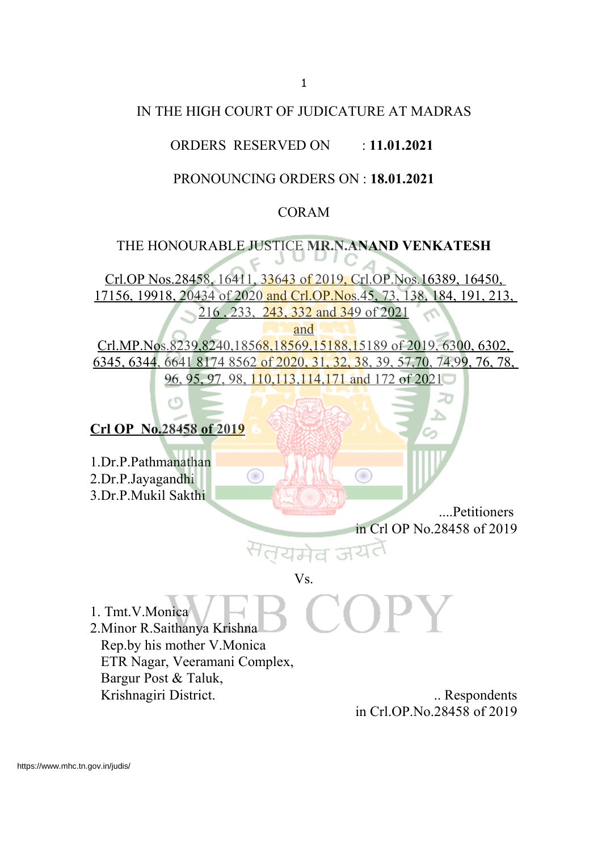### IN THE HIGH COURT OF JUDICATURE AT MADRAS

## ORDERS RESERVED ON : **11.01.2021**

# PRONOUNCING ORDERS ON : **18.01.2021**

### CORAM

# THE HONOURABLE JUSTICE **MR.N.ANAND VENKATESH**

Crl.OP Nos.28458, 16411, 33643 of 2019, Crl.OP.Nos.16389, 16450, 17156, 19918, 20434 of 2020 and Crl.OP.Nos.45, 73, 138, 184, 191, 213, 216 , 233, 243, 332 and 349 of 2021

and

Crl.MP.Nos.8239,8240,18568,18569,15188,15189 of 2019, 6300, 6302, 6345, 6344, 6641 8174 8562 of 2020, 31, 32, 38, 39, 57,70, 74,99, 76, 78, 96, 95, 97, 98, 110,113,114,171 and 172 of 2021

O

# **Crl OP No.28458 of 2019**

1.Dr.P.Pathmanathan 2.Dr.P.Jayagandhi 3.Dr.P.Mukil Sakthi

> ....Petitioners in Crl OP No.28458 of 2019

#### Vs.

यमेव जय

1. Tmt.V.Monica 2.Minor R.Saithanya Krishna Rep.by his mother V.Monica ETR Nagar, Veeramani Complex, Bargur Post & Taluk, Krishnagiri District. ... Respondents

⋒

in Crl.OP.No.28458 of 2019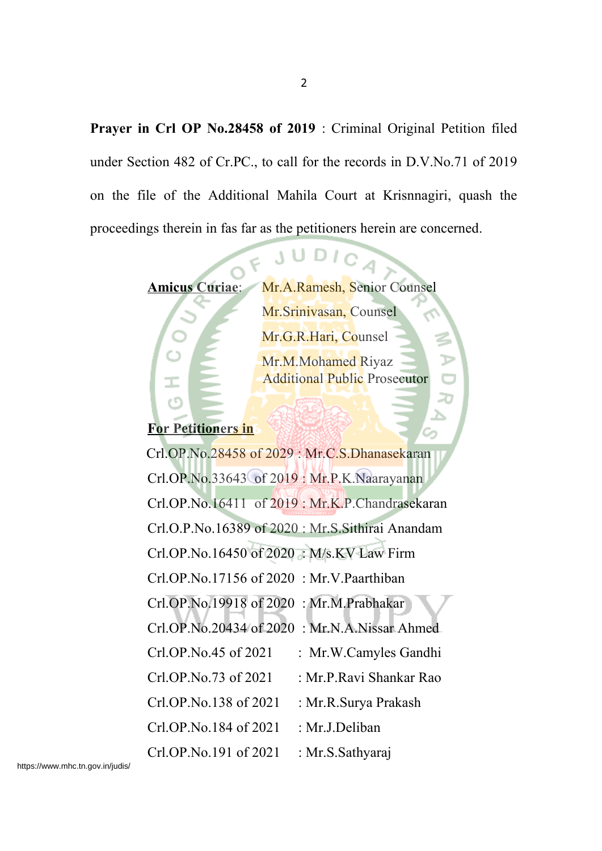**Prayer in Crl OP No.28458 of 2019** : Criminal Original Petition filed under Section 482 of Cr.PC., to call for the records in D.V.No.71 of 2019 on the file of the Additional Mahila Court at Krisnnagiri, quash the proceedings therein in fas far as the petitioners herein are concerned.

> Amicus Curiae: Mr.A.Ramesh, Senior Counsel Mr.Srinivasan, Counsel Mr.G.R.Hari, Counsel Mr.M.Mohamed Riyaz Additional Public Prosecutor

JU

# **For Petitioners in**

 Crl.OP.No.28458 of 2029 : Mr.C.S.Dhanasekaran Crl.OP.No.33643 of 2019 : Mr.P.K.Naarayanan Crl.OP.No.16411 of 2019 : Mr.K.P.Chandrasekaran Crl.O.P.No.16389 of 2020 : Mr.S.Sithirai Anandam Crl.OP.No.16450 of 2020 : M/s.KV Law Firm Crl.OP.No.17156 of 2020 : Mr.V.Paarthiban Crl.OP.No.19918 of 2020 : Mr.M.Prabhakar Crl.OP.No.20434 of 2020 : Mr.N.A.Nissar Ahmed Crl.OP.No.45 of 2021 : Mr.W.Camyles Gandhi Crl.OP.No.73 of 2021 : Mr.P.Ravi Shankar Rao Crl.OP.No.138 of 2021 : Mr.R.Surya Prakash  $CrLOP.No.184$  of  $2021$  : Mr.J.Deliban Crl.OP.No.191 of 2021 : Mr.S.Sathyaraj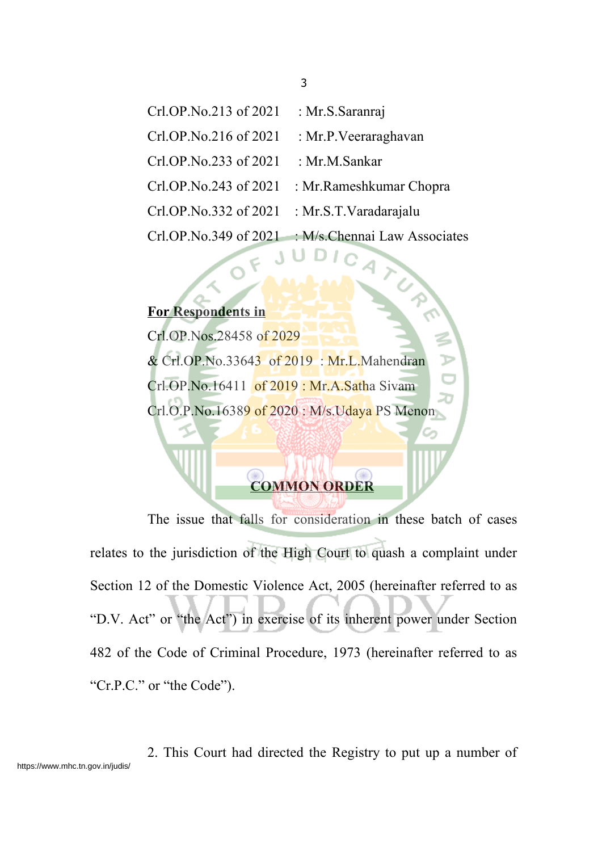| Crl.OP.No.213 of 2021 | : Mr.S.Saranraj               |
|-----------------------|-------------------------------|
| Crl.OP.No.216 of 2021 | : Mr.P. Veeraraghavan         |
| Crl.OP.No.233 of 2021 | : Mr.M.Sankar                 |
| Crl.OP.No.243 of 2021 | : Mr. Rameshkumar Chopra      |
| Crl.OP.No.332 of 2021 | : Mr.S.T.Varadarajalu         |
| Cr1.OP.No.349 of 2021 | : M/s. Chennai Law Associates |

# **For Respondents in**

Crl.OP.Nos.28458 of 2029 & Crl.OP.No.33643 of 2019 : Mr.L.Mahendran Crl.OP.No.16411 of 2019: Mr.A.Satha Sivam Crl.O.P.No.16389 of 2020 : M/s.Udaya PS Menon

 $\overline{\epsilon}$ 

# **COMMON ORDER**

The issue that falls for consideration in these batch of cases relates to the jurisdiction of the High Court to quash a complaint under Section 12 of the Domestic Violence Act, 2005 (hereinafter referred to as "D.V. Act" or "the Act") in exercise of its inherent power under Section 482 of the Code of Criminal Procedure, 1973 (hereinafter referred to as "Cr.P.C." or "the Code").

2. This Court had directed the Registry to put up a number of https://www.mhc.tn.gov.in/judis/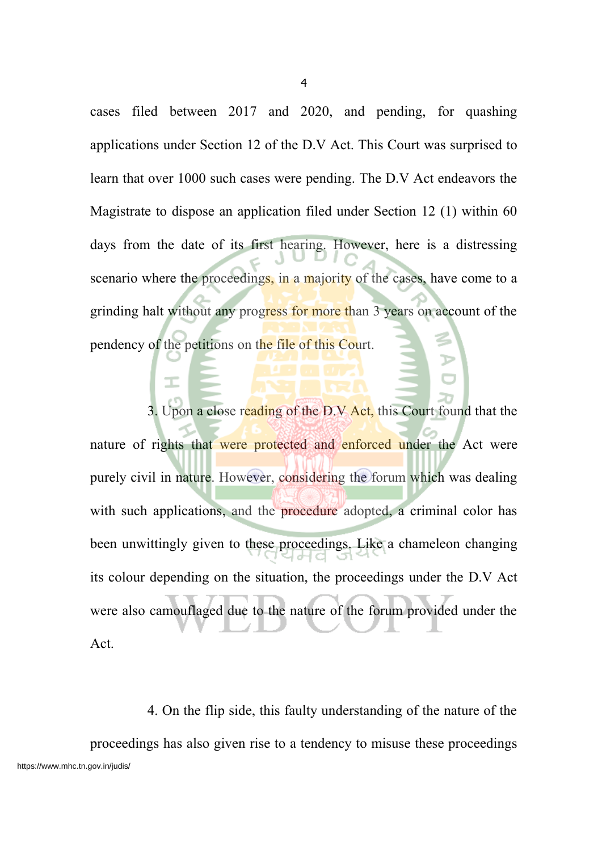cases filed between 2017 and 2020, and pending, for quashing applications under Section 12 of the D.V Act. This Court was surprised to learn that over 1000 such cases were pending. The D.V Act endeavors the Magistrate to dispose an application filed under Section 12 (1) within 60 days from the date of its first hearing. However, here is a distressing scenario where the proceedings, in a majority of the cases, have come to a grinding halt without any progress for more than 3 years on account of the pendency of the petitions on the file of this Court.

3. Upon a close reading of the D.V Act, this Court found that the nature of rights that were protected and enforced under the Act were purely civil in nature. However, considering the forum which was dealing with such applications, and the procedure adopted, a criminal color has been unwittingly given to these proceedings. Like a chameleon changing its colour depending on the situation, the proceedings under the D.V Act were also camouflaged due to the nature of the forum provided under the Act.

4. On the flip side, this faulty understanding of the nature of the proceedings has also given rise to a tendency to misuse these proceedings https://www.mhc.tn.gov.in/judis/

4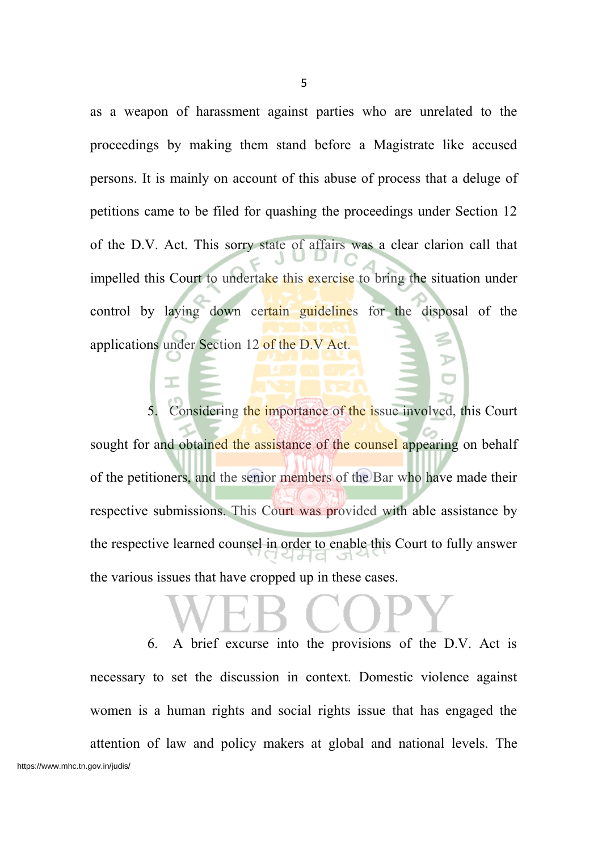as a weapon of harassment against parties who are unrelated to the proceedings by making them stand before a Magistrate like accused persons. It is mainly on account of this abuse of process that a deluge of petitions came to be filed for quashing the proceedings under Section 12 of the D.V. Act. This sorry state of affairs was a clear clarion call that impelled this Court to undertake this exercise to bring the situation under control by laying down certain guidelines for the disposal of the applications under Section 12 of the D.V Act.

Considering the importance of the issue involved, this Court sought for and obtained the assistance of the counsel appearing on behalf of the petitioners, and the senior members of the Bar who have made their respective submissions. This Court was provided with able assistance by the respective learned counsel in order to enable this Court to fully answer the various issues that have cropped up in these cases.

6. A brief excurse into the provisions of the D.V. Act is necessary to set the discussion in context. Domestic violence against women is a human rights and social rights issue that has engaged the attention of law and policy makers at global and national levels. The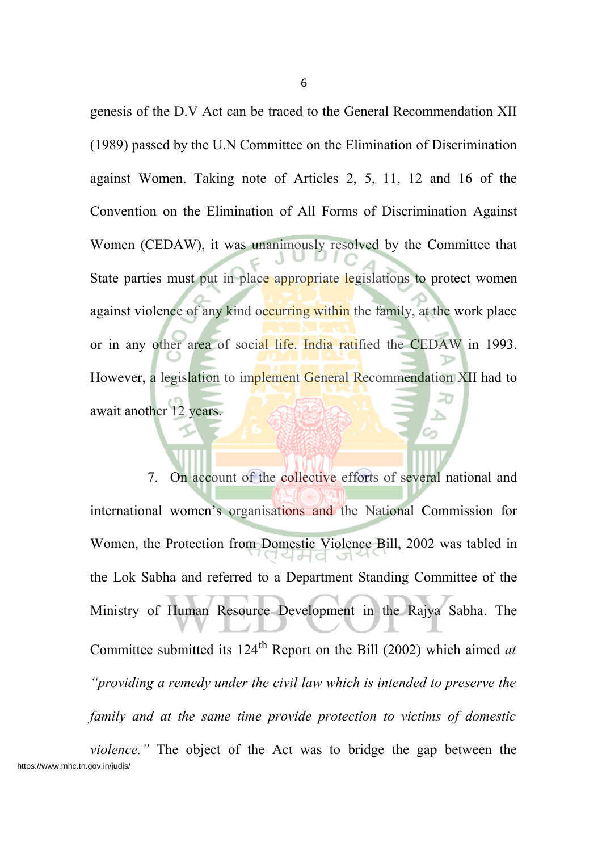genesis of the D.V Act can be traced to the General Recommendation XII (1989) passed by the U.N Committee on the Elimination of Discrimination against Women. Taking note of Articles 2, 5, 11, 12 and 16 of the Convention on the Elimination of All Forms of Discrimination Against Women (CEDAW), it was unanimously resolved by the Committee that State parties must put in place appropriate legislations to protect women against violence of any kind occurring within the family, at the work place or in any other area of social life. India ratified the CEDAW in 1993. However, a legislation to implement General Recommendation XII had to await another 12 years.

7. On account of the collective efforts of several national and international women's organisations and the National Commission for Women, the Protection from Domestic Violence Bill, 2002 was tabled in the Lok Sabha and referred to a Department Standing Committee of the Ministry of Human Resource Development in the Rajya Sabha. The Committee submitted its 124 th Report on the Bill (2002) which aimed *at "providing a remedy under the civil law which is intended to preserve the family and at the same time provide protection to victims of domestic*

*violence."* The object of the Act was to bridge the gap between the https://www.mhc.tn.gov.in/judis/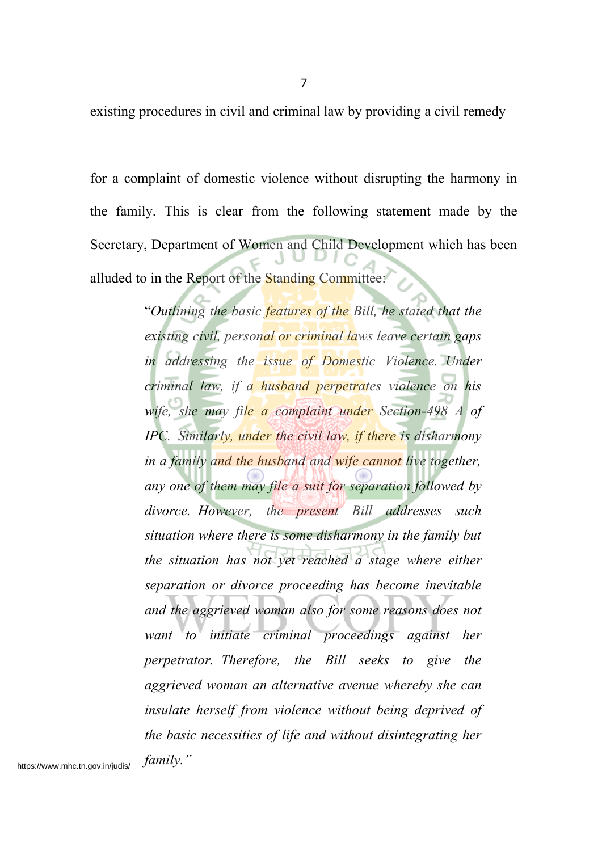existing procedures in civil and criminal law by providing a civil remedy

for a complaint of domestic violence without disrupting the harmony in the family. This is clear from the following statement made by the Secretary, Department of Women and Child Development which has been alluded to in the Report of the Standing Committee:

> "*Outlining the basic features of the Bill, he stated that the existing civil, personal or criminal laws leave certain gaps in addressing the issue of Domestic Violence. Under criminal law, if a husband perpetrates violence on his wife, she may file a complaint under Section-498 A of IPC. Similarly, under the civil law, if there is disharmony in a family and the husband and wife cannot live together, any one of them may file a suit for separation followed by divorce. However, the present Bill addresses such situation where there is some disharmony in the family but the situation has not yet reached a stage where either separation or divorce proceeding has become inevitable and the aggrieved woman also for some reasons does not want to initiate criminal proceedings against her perpetrator. Therefore, the Bill seeks to give the aggrieved woman an alternative avenue whereby she can insulate herself from violence without being deprived of the basic necessities of life and without disintegrating her family."*

https://www.mhc.tn.gov.in/judis/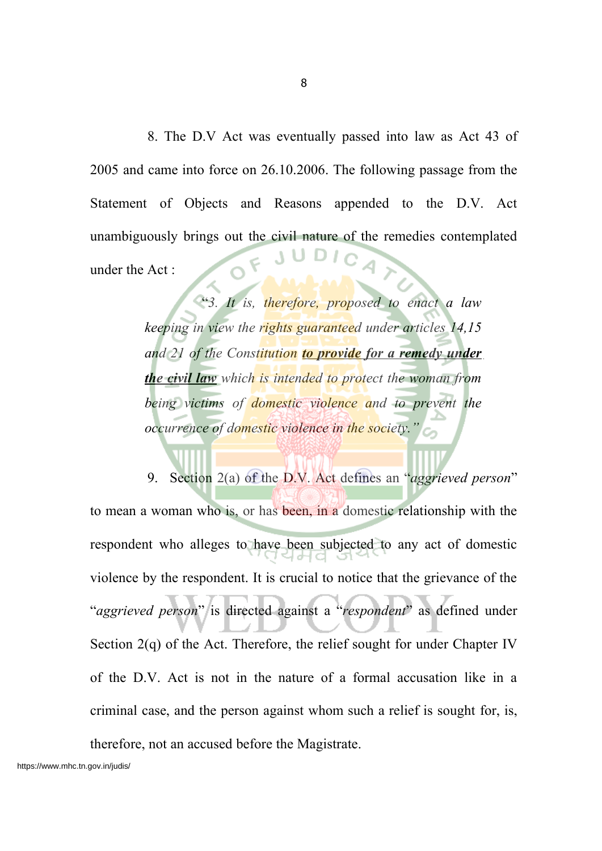8. The D.V Act was eventually passed into law as Act 43 of 2005 and came into force on 26.10.2006. The following passage from the Statement of Objects and Reasons appended to the D.V. Act unambiguously brings out the civil nature of the remedies contemplated under the Act :

> "*3. It is, therefore, proposed to enact a law keeping in view the rights guaranteed under articles 14,15 and 21 of the Constitution to provide for a remedy under the civil law which is intended to protect the woman from being victims of domestic violence and to prevent the occurrence of domestic violence in the society."*

9. Section 2(a) of the D.V. Act defines an "*aggrieved person*" to mean a woman who is, or has been, in a domestic relationship with the respondent who alleges to have been subjected to any act of domestic violence by the respondent. It is crucial to notice that the grievance of the "*aggrieved person*" is directed against a "*respondent*" as defined under Section 2(q) of the Act. Therefore, the relief sought for under Chapter IV of the D.V. Act is not in the nature of a formal accusation like in a criminal case, and the person against whom such a relief is sought for, is, therefore, not an accused before the Magistrate.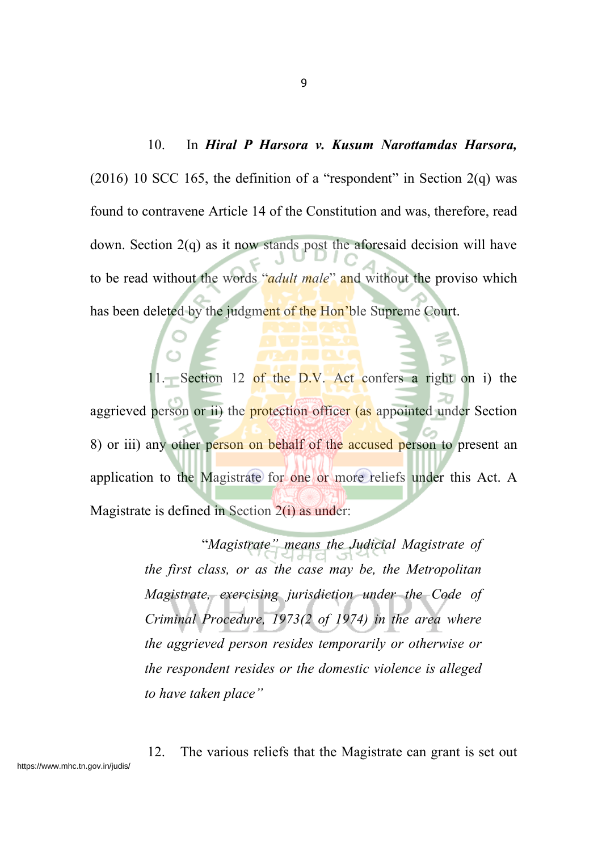#### 10. In *Hiral P Harsora v. Kusum Narottamdas Harsora,*

(2016) 10 SCC 165, the definition of a "respondent" in Section  $2(q)$  was found to contravene Article 14 of the Constitution and was, therefore, read down. Section 2(q) as it now stands post the aforesaid decision will have to be read without the words "*adult male*" and without the proviso which has been deleted by the judgment of the Hon'ble Supreme Court.

11. Section 12 of the D.V. Act confers a right on i) the aggrieved person or ii) the **protection** officer (as appointed under Section 8) or iii) any other person on behalf of the accused person to present an application to the Magistrate for one or more reliefs under this Act. A Magistrate is defined in Section 2(i) as under:

> "*Magistrate" means the Judicial Magistrate of the first class, or as the case may be, the Metropolitan Magistrate, exercising jurisdiction under the Code of Criminal Procedure, 1973(2 of 1974) in the area where the aggrieved person resides temporarily or otherwise or the respondent resides or the domestic violence is alleged to have taken place"*

12. The various reliefs that the Magistrate can grant is set out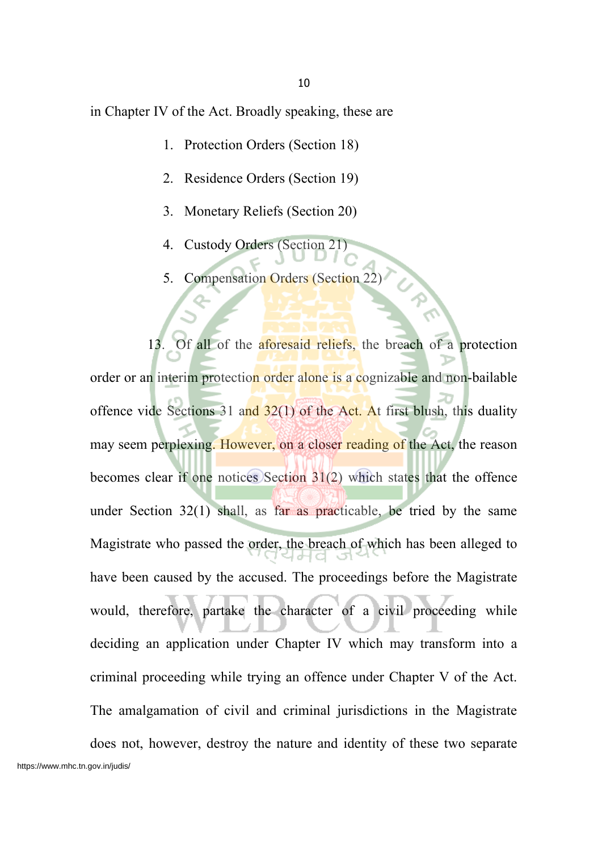in Chapter IV of the Act. Broadly speaking, these are

- 1. Protection Orders (Section 18)
- 2. Residence Orders (Section 19)
- 3. Monetary Reliefs (Section 20)
- 4. Custody Orders (Section 21)
- 5. Compensation Orders (Section 22)

13. Of all of the aforesaid reliefs, the breach of a protection order or an interim protection order alone is a cognizable and non-bailable offence vide Sections 31 and  $32(1)$  of the Act. At first blush, this duality may seem perplexing. However, on a closer reading of the Act, the reason becomes clear if one notices Section 31(2) which states that the offence under Section 32(1) shall, as far as practicable, be tried by the same Magistrate who passed the order, the breach of which has been alleged to have been caused by the accused. The proceedings before the Magistrate would, therefore, partake the character of a civil proceeding while deciding an application under Chapter IV which may transform into a criminal proceeding while trying an offence under Chapter V of the Act. The amalgamation of civil and criminal jurisdictions in the Magistrate does not, however, destroy the nature and identity of these two separate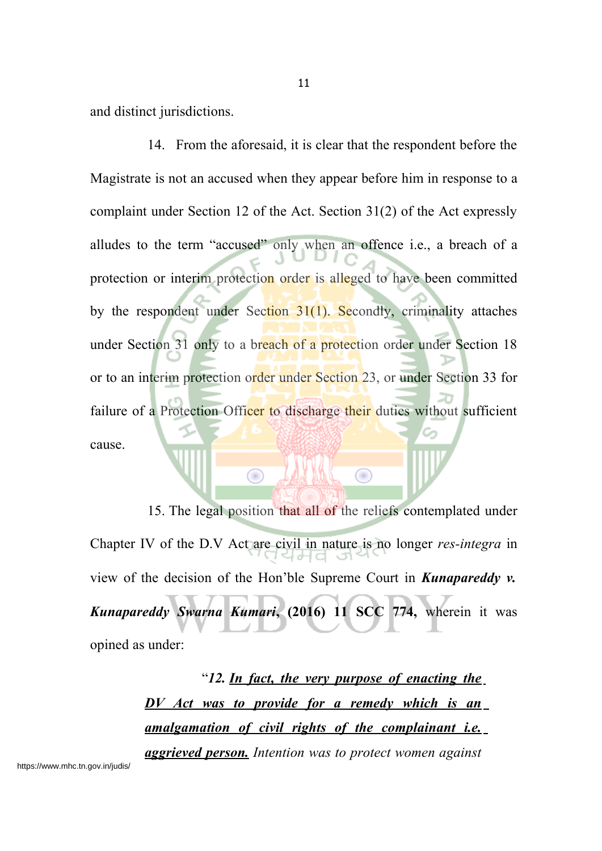and distinct jurisdictions.

14. From the aforesaid, it is clear that the respondent before the Magistrate is not an accused when they appear before him in response to a complaint under Section 12 of the Act. Section 31(2) of the Act expressly alludes to the term "accused" only when an offence i.e., a breach of a protection or interim protection order is alleged to have been committed by the respondent under Section  $31(1)$ . Secondly, criminality attaches under Section 31 only to a breach of a protection order under Section 18 or to an interim protection order under Section 23, or under Section 33 for failure of a Protection Officer to discharge their duties without sufficient cause.

15. The legal position that all of the reliefs contemplated under Chapter IV of the D.V Act are civil in nature is no longer *res-integra* in view of the decision of the Hon'ble Supreme Court in *Kunapareddy v. Kunapareddy Swarna Kumari***, (2016) 11 SCC 774,** wherein it was opined as under:

 $\bigcirc$ 

 $\bigcirc$ 

"*12. In fact, the very purpose of enacting the DV Act was to provide for a remedy which is an amalgamation of civil rights of the complainant i.e. aggrieved person. Intention was to protect women against*

11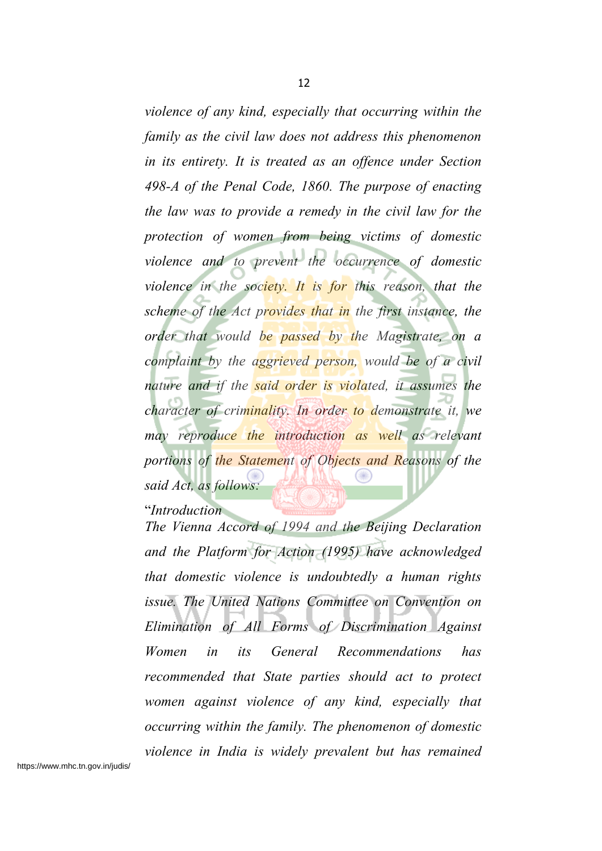*violence of any kind, especially that occurring within the family as the civil law does not address this phenomenon in its entirety. It is treated as an offence under Section 498-A of the Penal Code, 1860. The purpose of enacting the law was to provide a remedy in the civil law for the protection of women from being victims of domestic violence and to prevent the occurrence of domestic violence in the society. It is for this reason, that the scheme of the Act provides that in the first instance, the*

*order that would be passed by the Magistrate, on a complaint by the aggrieved person, would be of a civil nature and if the said order is violated, it assumes the character of criminality. In order to demonstrate it, we may reproduce the introduction as well as relevant portions of the Statement of Objects and Reasons of the said Act, as follows:*

"*Introduction*

*The Vienna Accord of 1994 and the Beijing Declaration and the Platform for Action (1995) have acknowledged that domestic violence is undoubtedly a human rights issue. The United Nations Committee on Convention on Elimination of All Forms of Discrimination Against Women in its General Recommendations has recommended that State parties should act to protect women against violence of any kind, especially that occurring within the family. The phenomenon of domestic violence in India is widely prevalent but has remained*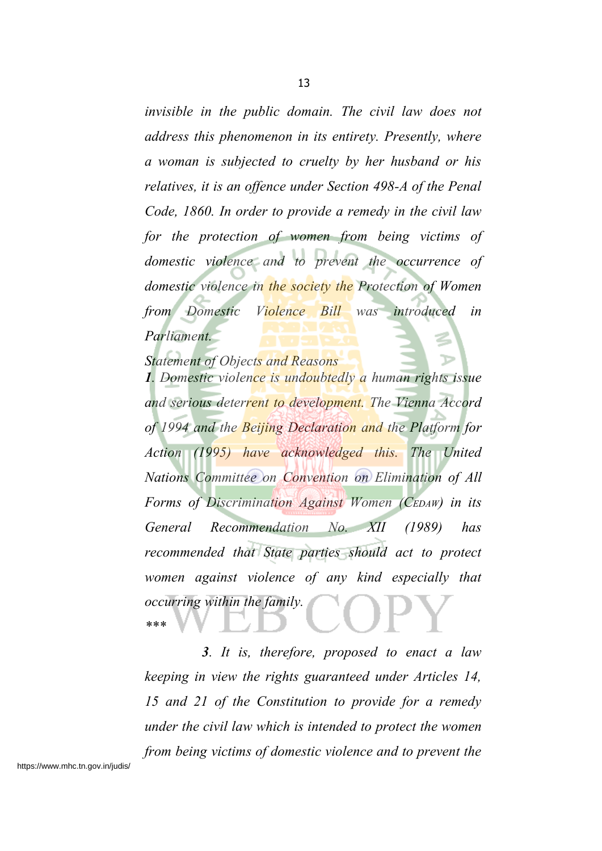*invisible in the public domain. The civil law does not address this phenomenon in its entirety. Presently, where a woman is subjected to cruelty by her husband or his relatives, it is an offence under Section 498-A of the Penal Code, 1860. In order to provide a remedy in the civil law for the protection of women from being victims of domestic violence and to prevent the occurrence of domestic violence in the society the Protection of Women from Domestic Violence Bill was introduced in Parliament.*

*Statement of Objects and Reasons*

*1. Domestic violence is undoubtedly a human rights issue and serious deterrent to development. The Vienna Accord of 1994 and the Beijing Declaration and the Platform for Action (1995) have acknowledged this. The United Nations Committee on Convention on Elimination of All Forms of Discrimination Against Women (CEDAW) in its General Recommendation No. XII (1989) has recommended that State parties should act to protect women against violence of any kind especially that occurring within the family. \*\*\**

*3. It is, therefore, proposed to enact a law keeping in view the rights guaranteed under Articles 14, 15 and 21 of the Constitution to provide for a remedy under the civil law which is intended to protect the women from being victims of domestic violence and to prevent the*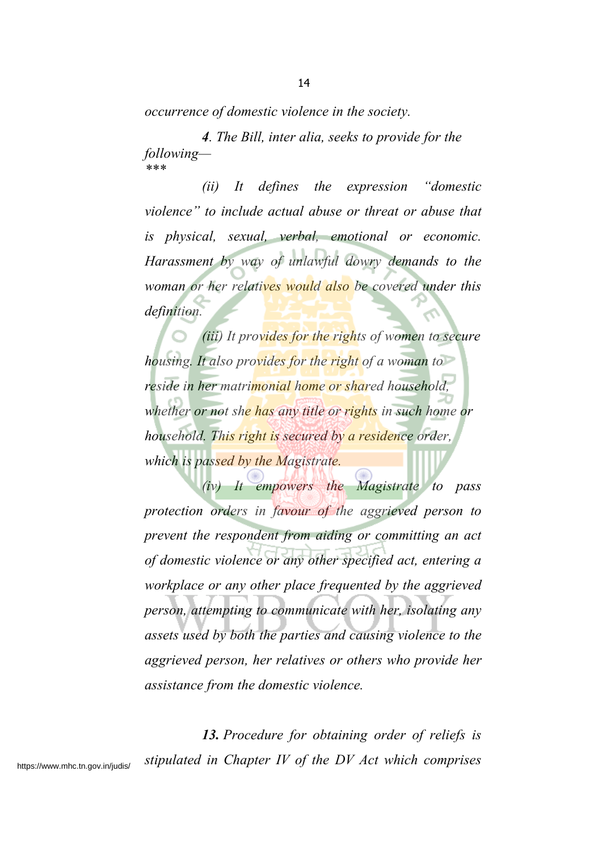*occurrence of domestic violence in the society.*

*4. The Bill, inter alia, seeks to provide for the following— \*\*\**

*(ii) It defines the expression "domestic violence" to include actual abuse or threat or abuse that is physical, sexual, verbal, emotional or economic. Harassment by way of unlawful dowry demands to the woman or her relatives would also be covered under this definition.*

*(iii) It provides for the rights of women to secure housing. It also provides for the right of a woman to reside in her matrimonial home or shared household, whether or not she has any title or rights in such home or household. This right is secured by a residence order, which is passed by the Magistrate.*

*(iv) It empowers the Magistrate to pass protection orders in favour of the aggrieved person to prevent the respondent from aiding or committing an act of domestic violence or any other specified act, entering a workplace or any other place frequented by the aggrieved person, attempting to communicate with her, isolating any assets used by both the parties and causing violence to the aggrieved person, her relatives or others who provide her assistance from the domestic violence.*

*13. Procedure for obtaining order of reliefs is stipulated in Chapter IV of the DV Act which comprises*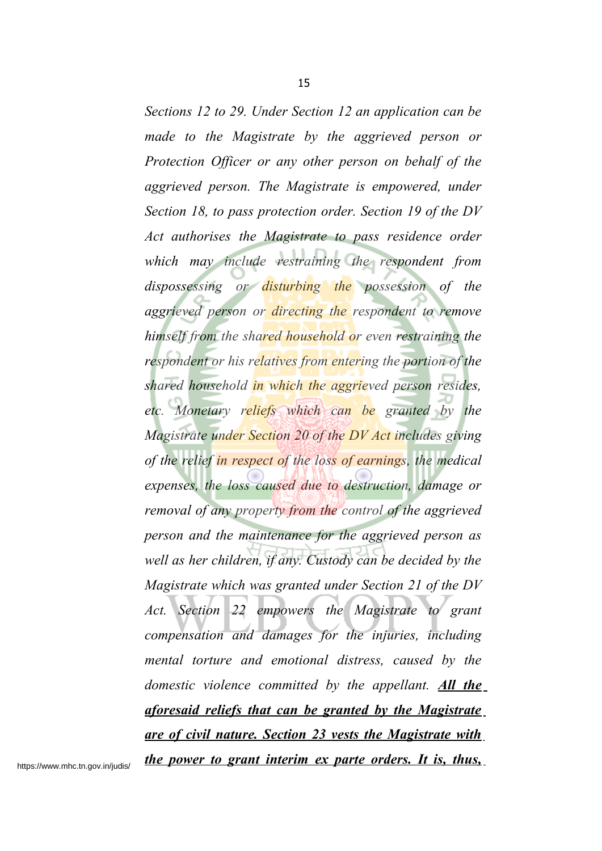*Sections 12 to 29. Under Section 12 an application can be made to the Magistrate by the aggrieved person or Protection Officer or any other person on behalf of the aggrieved person. The Magistrate is empowered, under Section 18, to pass protection order. Section 19 of the DV Act authorises the Magistrate to pass residence order which may include restraining the respondent from dispossessing or disturbing the possession of the aggrieved person or directing the respondent to remove himself from the shared household or even restraining the respondent or his relatives from entering the portion of the shared household in which the aggrieved person resides, etc. Monetary reliefs which can be granted by the Magistrate under Section 20 of the DV Act includes giving of the relief in respect of the loss of earnings, the medical expenses, the loss caused due to destruction, damage or removal of any property from the control of the aggrieved person and the maintenance for the aggrieved person as well as her children, if any. Custody can be decided by the Magistrate which was granted under Section 21 of the DV Act. Section 22 empowers the Magistrate to grant compensation and damages for the injuries, including mental torture and emotional distress, caused by the domestic violence committed by the appellant. All the aforesaid reliefs that can be granted by the Magistrate are of civil nature. Section 23 vests the Magistrate with the power to grant interim ex parte orders. It is, thus,*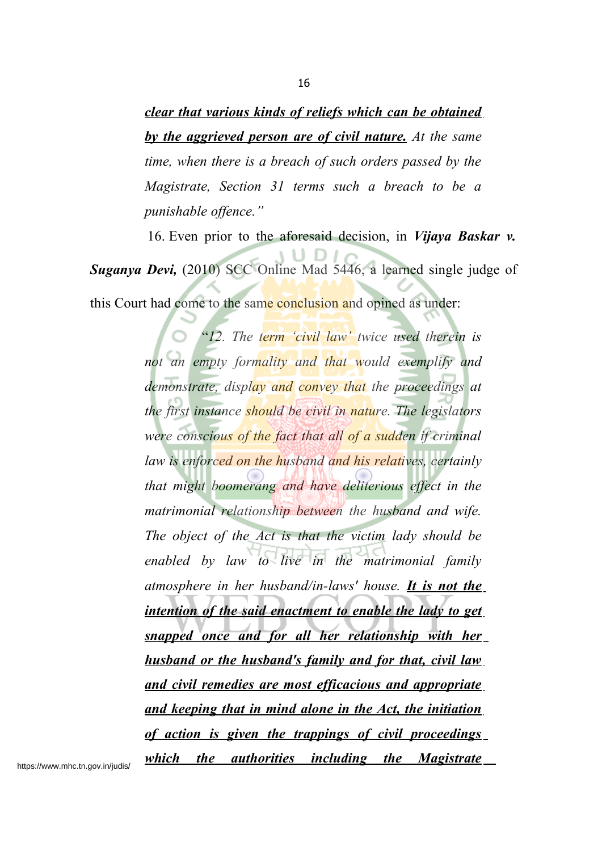*clear that various kinds of reliefs which can be obtained by the aggrieved person are of civil nature. At the same time, when there is a breach of such orders passed by the Magistrate, Section 31 terms such a breach to be a punishable offence."*

16. Even prior to the aforesaid decision, in *Vijaya Baskar v.*

*Suganya Devi,* (2010) SCC Online Mad 5446, a learned single judge of this Court had come to the same conclusion and opined as under:

> "*12. The term 'civil law' twice used therein is not an empty formality and that would exemplify and demonstrate, display and convey that the proceedings at the first instance should be civil in nature. The legislators were conscious of the fact that all of a sudden if criminal law is enforced on the husband and his relatives, certainly that might boomerang and have deliterious effect in the matrimonial relationship between the husband and wife. The object of the Act is that the victim lady should be enabled by law to live in the matrimonial family atmosphere in her husband/in-laws' house. It is not the intention of the said enactment to enable the lady to get snapped once and for all her relationship with her husband or the husband's family and for that, civil law and civil remedies are most efficacious and appropriate and keeping that in mind alone in the Act, the initiation of action is given the trappings of civil proceedings which the authorities including the Magistrate*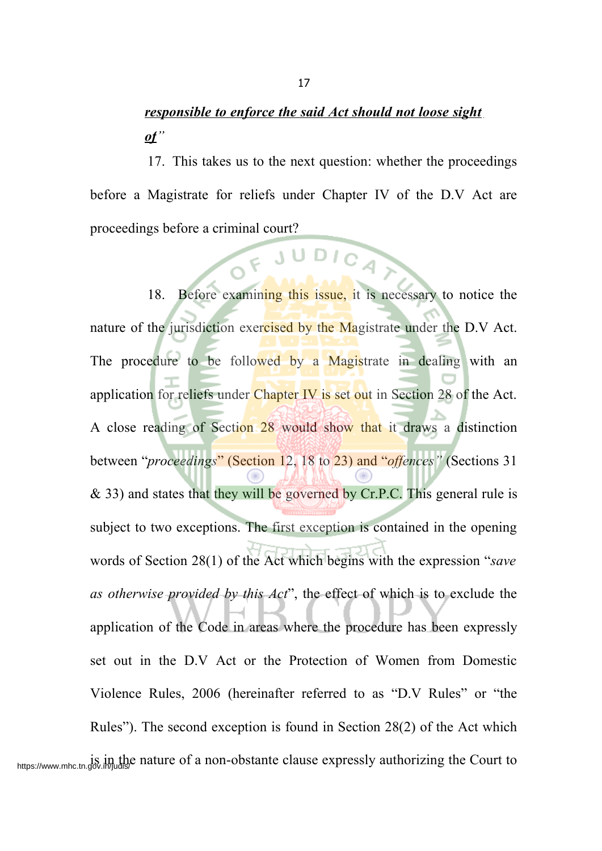# *responsible to enforce the said Act should not loose sight of"*

17. This takes us to the next question: whether the proceedings before a Magistrate for reliefs under Chapter IV of the D.V Act are proceedings before a criminal court?

FJUDICA

18. Before examining this issue, it is necessary to notice the nature of the jurisdiction exercised by the Magistrate under the D.V Act. The procedure to be followed by a Magistrate in dealing with an application for reliefs under Chapter IV is set out in Section 28 of the Act. A close reading of Section 28 would show that it draws a distinction between "*proceedings*" (Section 12, 18 to 23) and "*offences"* (Sections 31  $\&$  33) and states that they will be governed by Cr.P.C. This general rule is subject to two exceptions. The first exception is contained in the opening words of Section 28(1) of the Act which begins with the expression "*save as otherwise provided by this Act*", the effect of which is to exclude the application of the Code in areas where the procedure has been expressly set out in the D.V Act or the Protection of Women from Domestic Violence Rules, 2006 (hereinafter referred to as "D.V Rules" or "the Rules"). The second exception is found in Section 28(2) of the Act which https://www.mhc.tn.gov.in/judis/e nature of a non-obstante clause expressly authorizing the Court to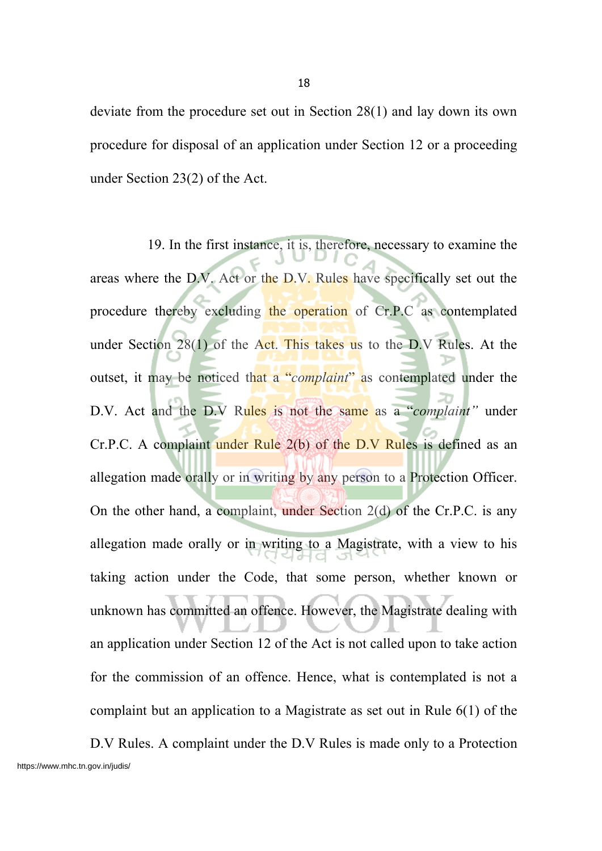deviate from the procedure set out in Section 28(1) and lay down its own procedure for disposal of an application under Section 12 or a proceeding under Section 23(2) of the Act.

19. In the first instance, it is, therefore, necessary to examine the areas where the D.V. Act or the D.V. Rules have specifically set out the procedure thereby excluding the operation of Cr.P.C as contemplated under Section 28(1) of the Act. This takes us to the D.V Rules. At the outset, it may be noticed that a "*complaint*" as contemplated under the D.V. Act and the D.V Rules is not the same as a "*complaint"* under Cr.P.C. A complaint under Rule 2(b) of the D.V Rules is defined as an allegation made orally or in writing by any person to a Protection Officer. On the other hand, a complaint, under Section 2(d) of the Cr.P.C. is any allegation made orally or in writing to a Magistrate, with a view to his taking action under the Code, that some person, whether known or unknown has committed an offence. However, the Magistrate dealing with an application under Section 12 of the Act is not called upon to take action for the commission of an offence. Hence, what is contemplated is not a complaint but an application to a Magistrate as set out in Rule 6(1) of the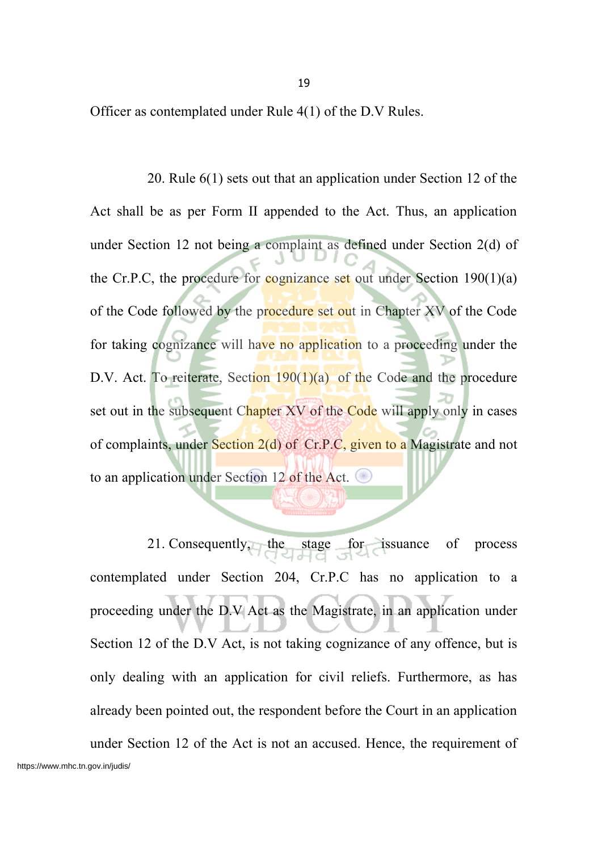Officer as contemplated under Rule 4(1) of the D.V Rules.

20. Rule 6(1) sets out that an application under Section 12 of the Act shall be as per Form II appended to the Act. Thus, an application under Section 12 not being a complaint as defined under Section 2(d) of the Cr.P.C, the procedure for cognizance set out under Section  $190(1)(a)$ of the Code followed by the procedure set out in Chapter XV of the Code for taking cognizance will have no application to a proceeding under the D.V. Act. To reiterate, Section  $190(1)(a)$  of the Code and the procedure set out in the subsequent Chapter XV of the Code will apply only in cases of complaints, under Section 2(d) of Cr.P.C, given to a Magistrate and not to an application under Section 12 of the Act.

21. Consequently, the stage for issuance of process contemplated under Section 204, Cr.P.C has no application to a proceeding under the D.V Act as the Magistrate, in an application under Section 12 of the D.V Act, is not taking cognizance of any offence, but is only dealing with an application for civil reliefs. Furthermore, as has already been pointed out, the respondent before the Court in an application under Section 12 of the Act is not an accused. Hence, the requirement of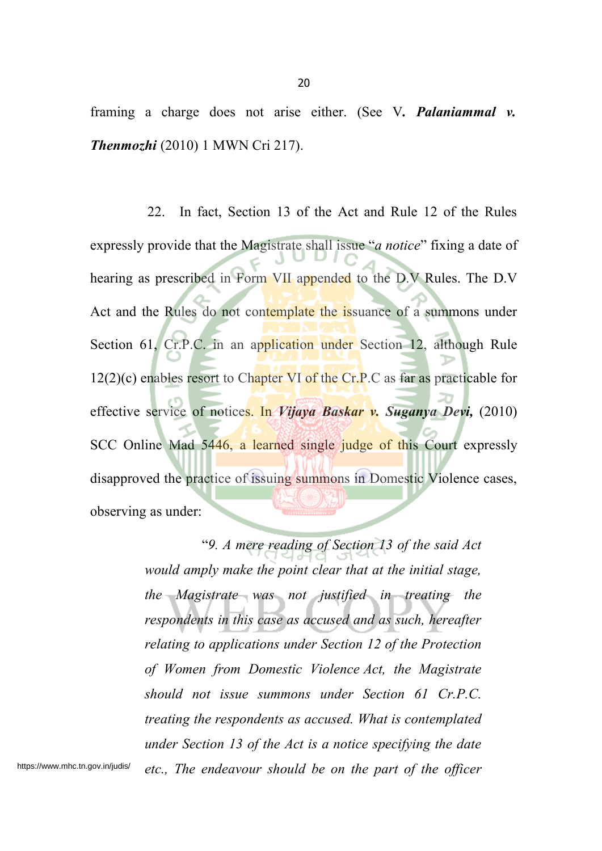framing a charge does not arise either. (See V*. Palaniammal v. Thenmozhi* (2010) 1 MWN Cri 217).

22. In fact, Section 13 of the Act and Rule 12 of the Rules expressly provide that the Magistrate shall issue "*a notice*" fixing a date of hearing as prescribed in Form VII appended to the D.V Rules. The D.V Act and the Rules do not contemplate the issuance of a summons under Section 61, Cr.P.C. in an application under Section 12, although Rule  $12(2)(c)$  enables resort to Chapter VI of the Cr.P.C as far as practicable for effective service of notices. In *Vijaya Baskar v. Suganya Devi,* (2010) SCC Online Mad 5446, a learned single judge of this Court expressly disapproved the practice of issuing summons in Domestic Violence cases, observing as under:

> "*9. A mere reading of Section 13 of the said Act would amply make the point clear that at the initial stage, the Magistrate was not justified in treating the respondents in this case as accused and as such, hereafter relating to applications under Section 12 of the Protection of Women from Domestic Violence Act, the Magistrate should not issue summons under Section 61 Cr.P.C. treating the respondents as accused. What is contemplated under Section 13 of the Act is a notice specifying the date etc., The endeavour should be on the part of the officer*

https://www.mhc.tn.gov.in/judis/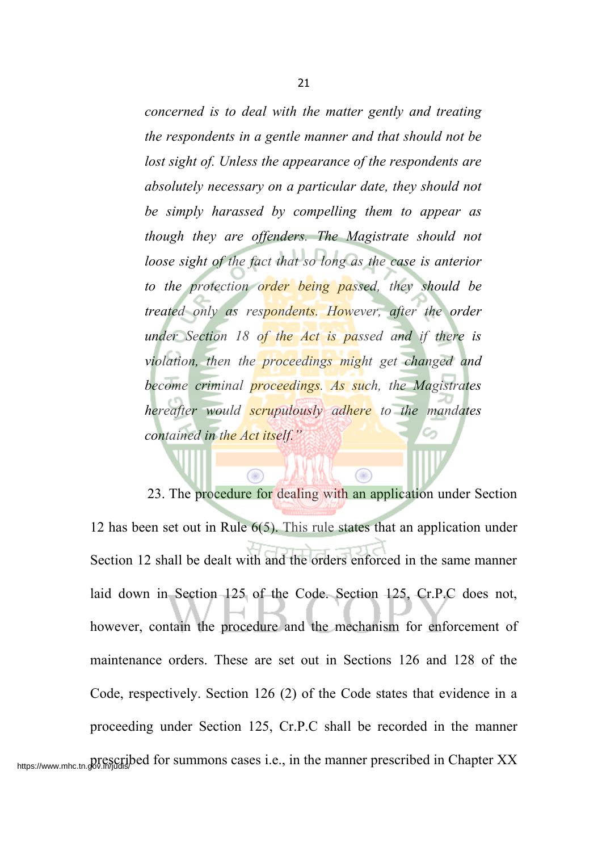*concerned is to deal with the matter gently and treating the respondents in a gentle manner and that should not be lost sight of. Unless the appearance of the respondents are absolutely necessary on a particular date, they should not be simply harassed by compelling them to appear as though they are offenders. The Magistrate should not loose sight of the fact that so long as the case is anterior to the protection order being passed, they should be treated only as respondents. However, after the order under Section 18 of the Act is passed and if there is violation, then the proceedings might get changed and become criminal proceedings. As such, the Magistrates hereafter would scrupulously adhere to the mandates contained in the Act itself."*

⋒

23. The procedure for dealing with an application under Section 12 has been set out in Rule 6(5). This rule states that an application under Section 12 shall be dealt with and the orders enforced in the same manner laid down in Section 125 of the Code. Section 125, Cr.P.C does not, however, contain the procedure and the mechanism for enforcement of maintenance orders. These are set out in Sections 126 and 128 of the Code, respectively. Section 126 (2) of the Code states that evidence in a proceeding under Section 125, Cr.P.C shall be recorded in the manner https://www.mhc.tn.gov.in/judis/bed for summons cases i.e., in the manner prescribed in Chapter XX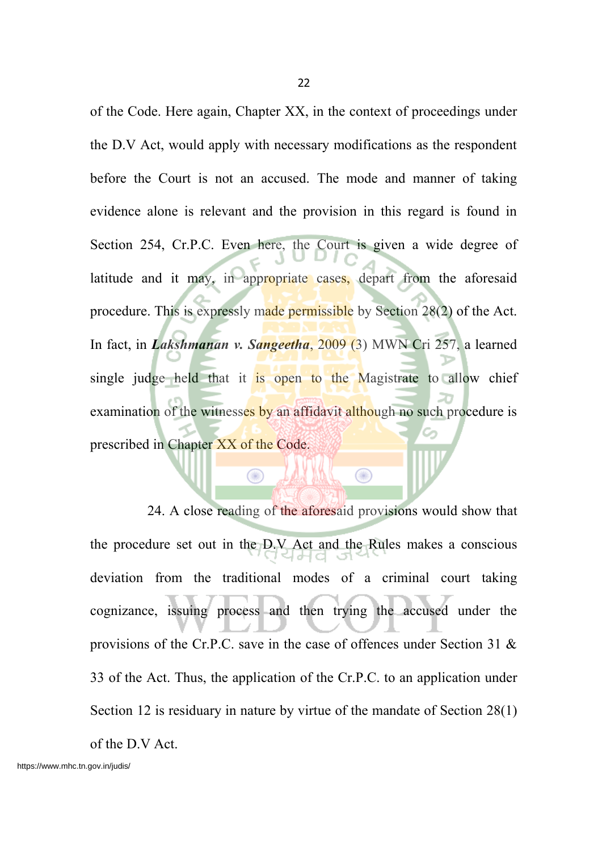of the Code. Here again, Chapter XX, in the context of proceedings under the D.V Act, would apply with necessary modifications as the respondent before the Court is not an accused. The mode and manner of taking evidence alone is relevant and the provision in this regard is found in Section 254, Cr.P.C. Even here, the Court is given a wide degree of latitude and it may, in appropriate cases, depart from the aforesaid procedure. This is expressly made permissible by Section 28(2) of the Act. In fact, in *Lakshmanan v. Sangeetha*, 2009 (3) MWN Cri 257, a learned single judge held that it is open to the Magistrate to allow chief examination of the witnesses by an affidavit although no such procedure is prescribed in Chapter XX of the Code.

24. A close reading of the aforesaid provisions would show that the procedure set out in the D.V Act and the Rules makes a conscious deviation from the traditional modes of a criminal court taking cognizance, issuing process and then trying the accused under the provisions of the Cr.P.C. save in the case of offences under Section 31 & 33 of the Act. Thus, the application of the Cr.P.C. to an application under Section 12 is residuary in nature by virtue of the mandate of Section 28(1) of the D.V Act.

00

 $\circledcirc$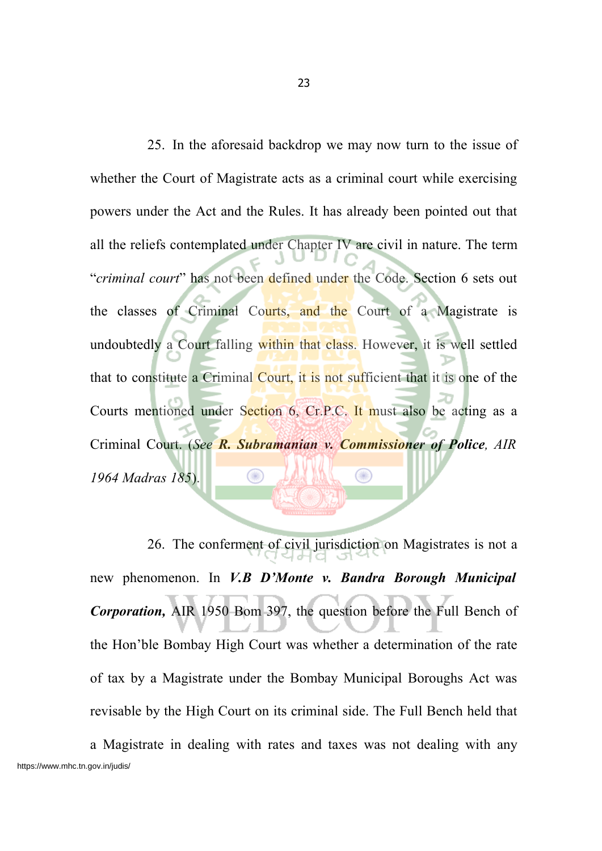25. In the aforesaid backdrop we may now turn to the issue of whether the Court of Magistrate acts as a criminal court while exercising powers under the Act and the Rules. It has already been pointed out that all the reliefs contemplated under Chapter IV are civil in nature. The term "*criminal court*" has not been defined under the Code. Section 6 sets out the classes of Criminal Courts, and the Court of a Magistrate is undoubtedly a Court falling within that class. However, it is well settled that to constitute a Criminal Court, it is not sufficient that it is one of the Courts mentioned under Section 6, Cr.P.C. It must also be acting as a Criminal Court. (*See R. Subramanian v. Commissioner of Police, AIR 1964 Madras 185*).

26. The conferment of civil jurisdiction on Magistrates is not a new phenomenon. In *V.B D'Monte v. Bandra Borough Municipal Corporation,* AIR 1950 Bom 397, the question before the Full Bench of the Hon'ble Bombay High Court was whether a determination of the rate of tax by a Magistrate under the Bombay Municipal Boroughs Act was revisable by the High Court on its criminal side. The Full Bench held that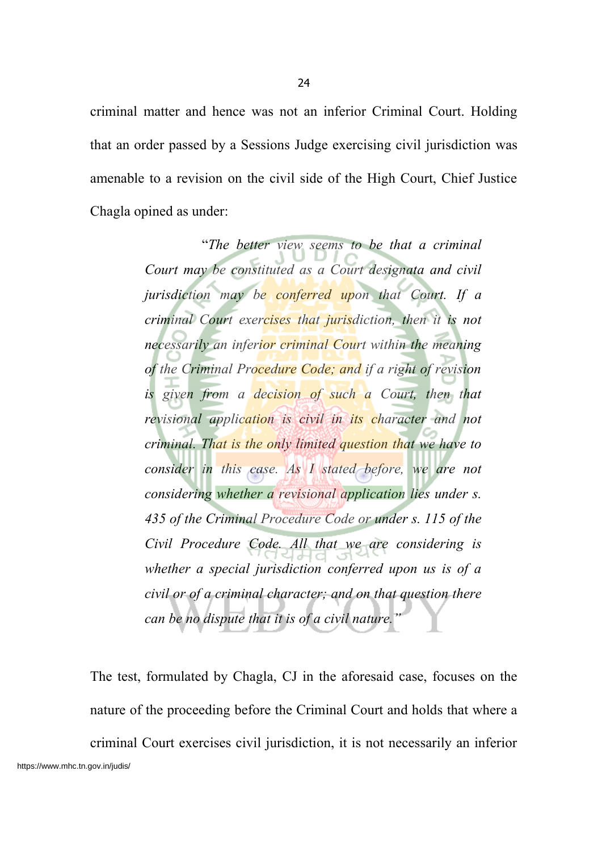criminal matter and hence was not an inferior Criminal Court. Holding that an order passed by a Sessions Judge exercising civil jurisdiction was amenable to a revision on the civil side of the High Court, Chief Justice Chagla opined as under:

> "*The better view seems to be that a criminal Court may be constituted as a Court designata and civil jurisdiction may be conferred upon that Court. If a criminal Court exercises that jurisdiction, then it is not necessarily an inferior criminal Court within the meaning of the Criminal Procedure Code; and if a right of revision is given from a decision of such a Court, then that revisional application is civil in its character and not criminal. That is the only limited question that we have to consider in this case. As I stated before, we are not considering whether a revisional application lies under s. 435 of the Criminal Procedure Code or under s. 115 of the Civil Procedure Code. All that we are considering is whether a special jurisdiction conferred upon us is of a civil or of a criminal character; and on that question there can be no dispute that it is of a civil nature."*

The test, formulated by Chagla, CJ in the aforesaid case, focuses on the nature of the proceeding before the Criminal Court and holds that where a criminal Court exercises civil jurisdiction, it is not necessarily an inferior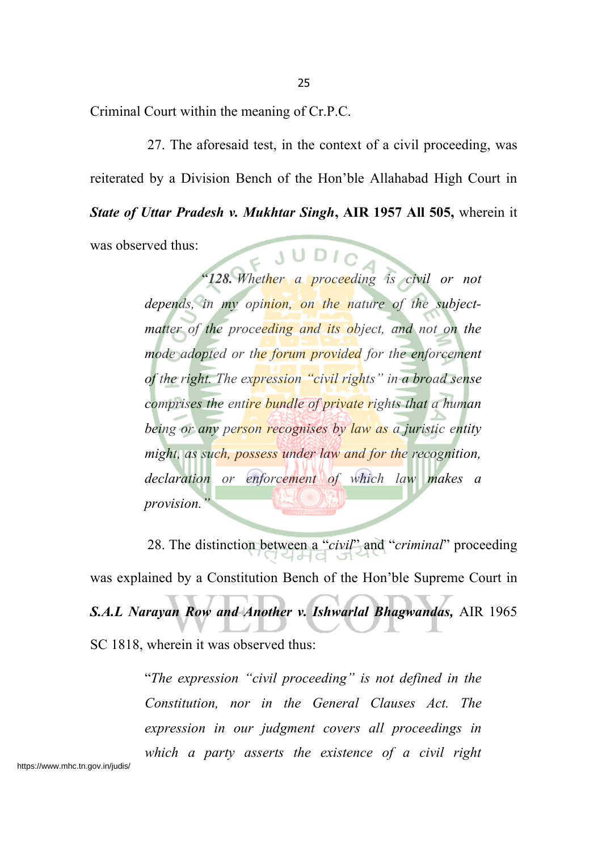Criminal Court within the meaning of Cr.P.C.

27. The aforesaid test, in the context of a civil proceeding, was reiterated by a Division Bench of the Hon'ble Allahabad High Court in *State of Uttar Pradesh v. Mukhtar Singh***, AIR 1957 All 505,** wherein it was observed thus:

"*128. Whether a proceeding is civil or not depends, in my opinion, on the nature of the subjectmatter of the proceeding and its object, and not on the mode adopted or the forum provided for the enforcement of the right. The expression "civil rights" in a broad sense comprises the entire bundle of private rights that a human being or any person recognises by law as a juristic entity might, as such, possess under law and for the recognition, declaration or enforcement of which law makes a provision."*

28. The distinction between a "*civil*" and "*criminal*" proceeding was explained by a Constitution Bench of the Hon'ble Supreme Court in *S.A.L Narayan Row and Another v. Ishwarlal Bhagwandas,* AIR 1965 SC 1818, wherein it was observed thus:

> "*The expression "civil proceeding" is not defined in the Constitution, nor in the General Clauses Act. The expression in our judgment covers all proceedings in which a party asserts the existence of a civil right*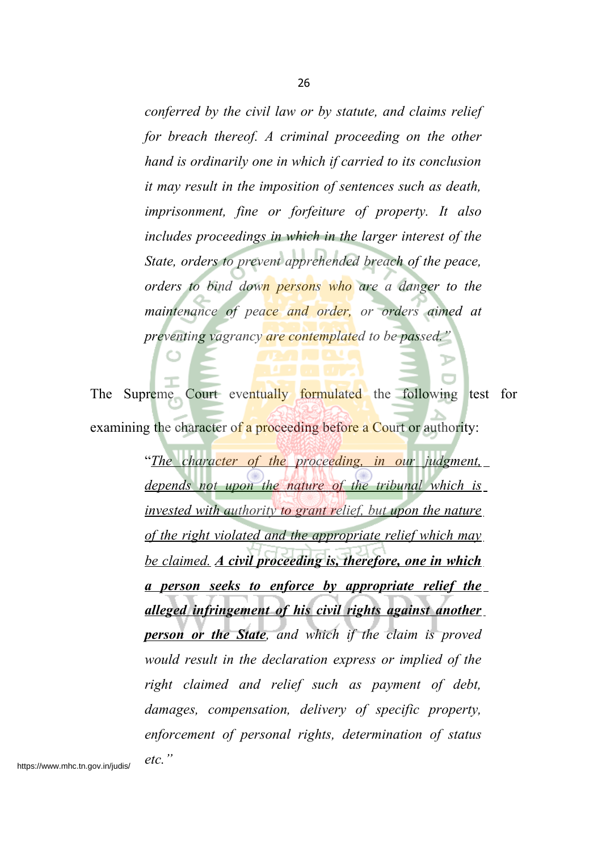*conferred by the civil law or by statute, and claims relief for breach thereof. A criminal proceeding on the other hand is ordinarily one in which if carried to its conclusion it may result in the imposition of sentences such as death, imprisonment, fine or forfeiture of property. It also includes proceedings in which in the larger interest of the State, orders to prevent apprehended breach of the peace, orders to bind down persons who are a danger to the maintenance of peace and order, or orders aimed at preventing vagrancy are contemplated to be passed."*

The Supreme Court eventually formulated the following test for examining the character of a proceeding before a Court or authority:

> "*The character of the proceeding, in our judgment, depends not upon the nature of the tribunal which is invested with authority to grant relief, but upon the nature of the right violated and the appropriate relief which may be claimed. A civil proceeding is, therefore, one in which a person seeks to enforce by appropriate relief the alleged infringement of his civil rights against another person or the State, and which if the claim is proved would result in the declaration express or implied of the right claimed and relief such as payment of debt, damages, compensation, delivery of specific property, enforcement of personal rights, determination of status etc."*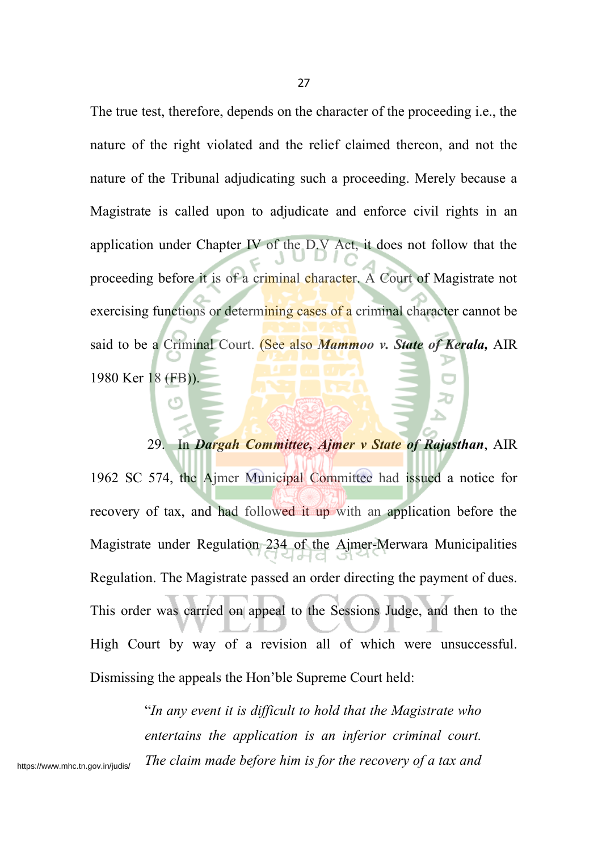The true test, therefore, depends on the character of the proceeding i.e., the nature of the right violated and the relief claimed thereon, and not the nature of the Tribunal adjudicating such a proceeding. Merely because a Magistrate is called upon to adjudicate and enforce civil rights in an application under Chapter IV of the D.V Act, it does not follow that the proceeding before it is of a criminal character. A Court of Magistrate not exercising functions or determining cases of a criminal character cannot be said to be a Criminal Court. (See also *Mammoo v. State of Kerala,* AIR 1980 Ker 18 (FB)).

# 29. In *Dargah Committee, Ajmer v State of Rajasthan*, AIR

1962 SC 574, the Ajmer Municipal Committee had issued a notice for recovery of tax, and had followed it up with an application before the Magistrate under Regulation 234 of the Ajmer-Merwara Municipalities Regulation. The Magistrate passed an order directing the payment of dues. This order was carried on appeal to the Sessions Judge, and then to the High Court by way of a revision all of which were unsuccessful. Dismissing the appeals the Hon'ble Supreme Court held:

> "*In any event it is difficult to hold that the Magistrate who entertains the application is an inferior criminal court. The claim made before him is for the recovery of a tax and*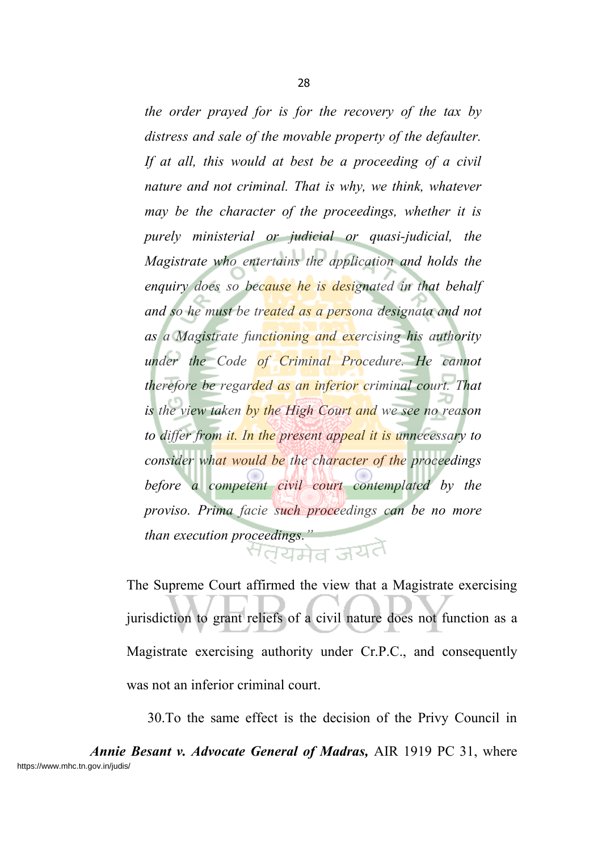*the order prayed for is for the recovery of the tax by distress and sale of the movable property of the defaulter. If at all, this would at best be a proceeding of a civil nature and not criminal. That is why, we think, whatever may be the character of the proceedings, whether it is purely ministerial or judicial or quasi-judicial, the Magistrate who entertains the application and holds the enquiry does so because he is designated in that behalf and so he must be treated as a persona designata and not as a Magistrate functioning and exercising his authority under the Code of Criminal Procedure. He cannot therefore be regarded as an inferior criminal court. That is the view taken by the High Court and we see no reason to differ from it. In the present appeal it is unnecessary to consider what would be the character of the proceedings before a competent civil court contemplated by the proviso. Prima facie such proceedings can be no more than execution proceedings."* 

The Supreme Court affirmed the view that a Magistrate exercising jurisdiction to grant reliefs of a civil nature does not function as a Magistrate exercising authority under Cr.P.C., and consequently was not an inferior criminal court.

30.To the same effect is the decision of the Privy Council in

*Annie Besant v. Advocate General of Madras,* AIR 1919 PC 31, where https://www.mhc.tn.gov.in/judis/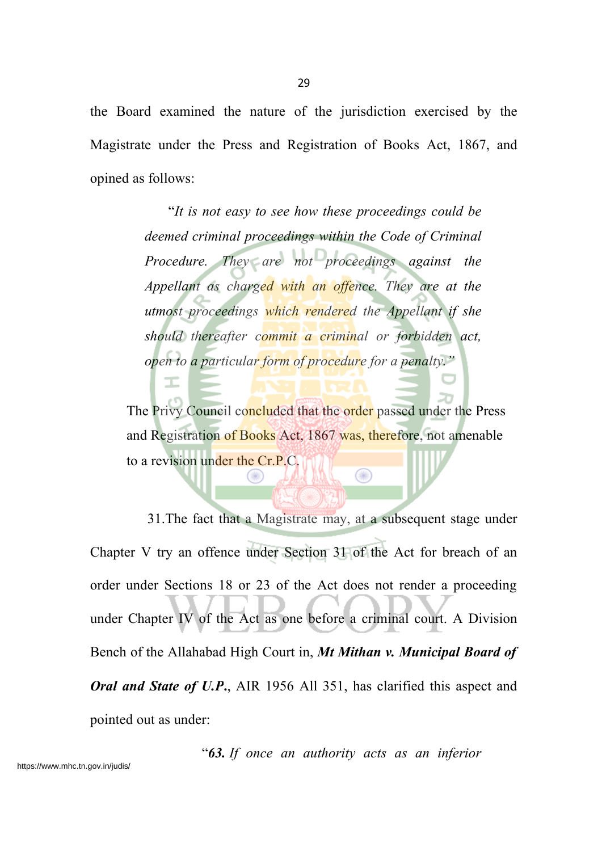the Board examined the nature of the jurisdiction exercised by the Magistrate under the Press and Registration of Books Act, 1867, and opined as follows:

> "*It is not easy to see how these proceedings could be deemed criminal proceedings within the Code of Criminal Procedure. They are not proceedings against the Appellant as charged with an offence. They are at the utmost proceedings which rendered the Appellant if she should thereafter commit a criminal or forbidden act, open to a particular form of procedure for a penalty."*

The Privy Council concluded that the order passed under the Press and Registration of Books Act, 1867 was, therefore, not amenable to a revision under the Cr.P.C.  $\circledcirc$ 

ᆂ

31.The fact that a Magistrate may, at a subsequent stage under Chapter V try an offence under Section 31 of the Act for breach of an order under Sections 18 or 23 of the Act does not render a proceeding under Chapter IV of the Act as one before a criminal court. A Division Bench of the Allahabad High Court in, *Mt Mithan v. Municipal Board of Oral and State of U.P***.**, AIR 1956 All 351, has clarified this aspect and pointed out as under:

"*63. If once an authority acts as an inferior*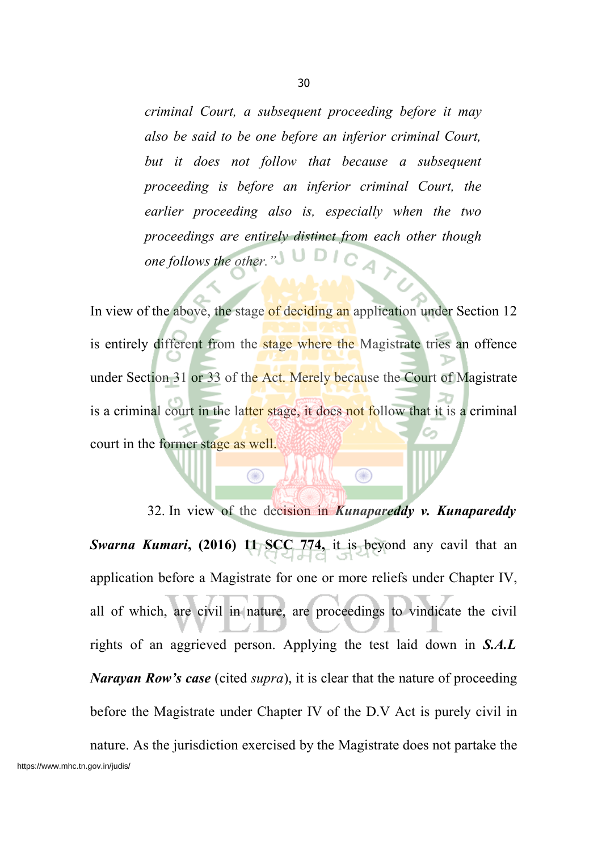*criminal Court, a subsequent proceeding before it may also be said to be one before an inferior criminal Court, but it does not follow that because a subsequent proceeding is before an inferior criminal Court, the earlier proceeding also is, especially when the two proceedings are entirely distinct from each other though one follows the other."*

In view of the above, the stage of deciding an application under Section 12 is entirely different from the stage where the Magistrate tries an offence under Section 31 or 33 of the Act. Merely because the Court of Magistrate is a criminal court in the latter stage, it does not follow that it is a criminal court in the former stage as well.

 $\bigcirc$ 

32. In view of the decision in *Kunapareddy v. Kunapareddy Swarna Kumari***, (2016) 11 SCC 774,** it is beyond any cavil that an application before a Magistrate for one or more reliefs under Chapter IV, all of which, are civil in nature, are proceedings to vindicate the civil rights of an aggrieved person. Applying the test laid down in *S.A.L Narayan Row's case* (cited *supra*), it is clear that the nature of proceeding before the Magistrate under Chapter IV of the D.V Act is purely civil in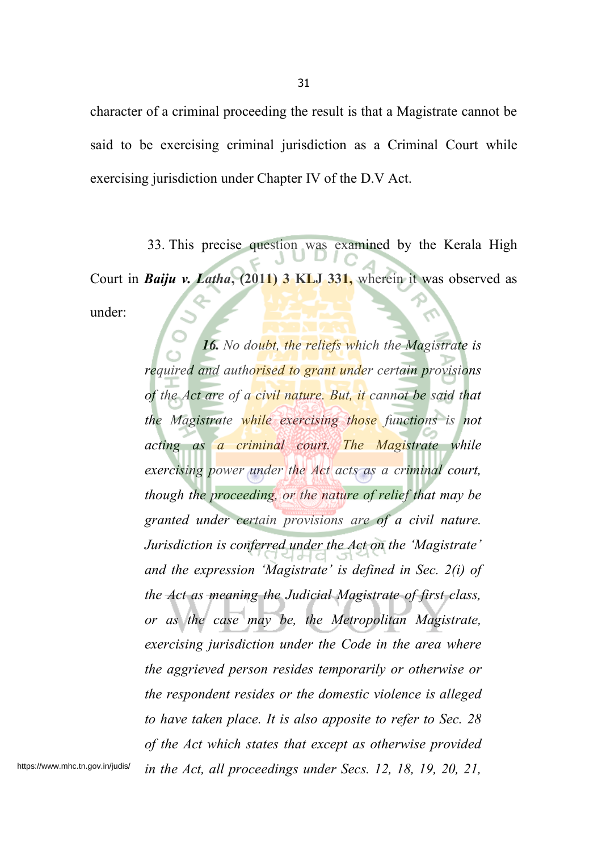character of a criminal proceeding the result is that a Magistrate cannot be said to be exercising criminal jurisdiction as a Criminal Court while exercising jurisdiction under Chapter IV of the D.V Act.

33. This precise question was examined by the Kerala High Court in *Baiju v. Latha***, (2011) 3 KLJ 331,** wherein it was observed as under:

*16. No doubt, the reliefs which the Magistrate is required and authorised to grant under certain provisions of the Act are of a civil nature. But, it cannot be said that the Magistrate while exercising those functions is not acting as a criminal court. The Magistrate while exercising power under the Act acts as a criminal court, though the proceeding, or the nature of relief that may be granted under certain provisions are of a civil nature. Jurisdiction is conferred under the Act on the 'Magistrate' and the expression 'Magistrate' is defined in Sec. 2(i) of the Act as meaning the Judicial Magistrate of first class, or as the case may be, the Metropolitan Magistrate, exercising jurisdiction under the Code in the area where the aggrieved person resides temporarily or otherwise or the respondent resides or the domestic violence is alleged to have taken place. It is also apposite to refer to Sec. 28 of the Act which states that except as otherwise provided in the Act, all proceedings under Secs. 12, 18, 19, 20, 21,* https://www.mhc.tn.gov.in/judis/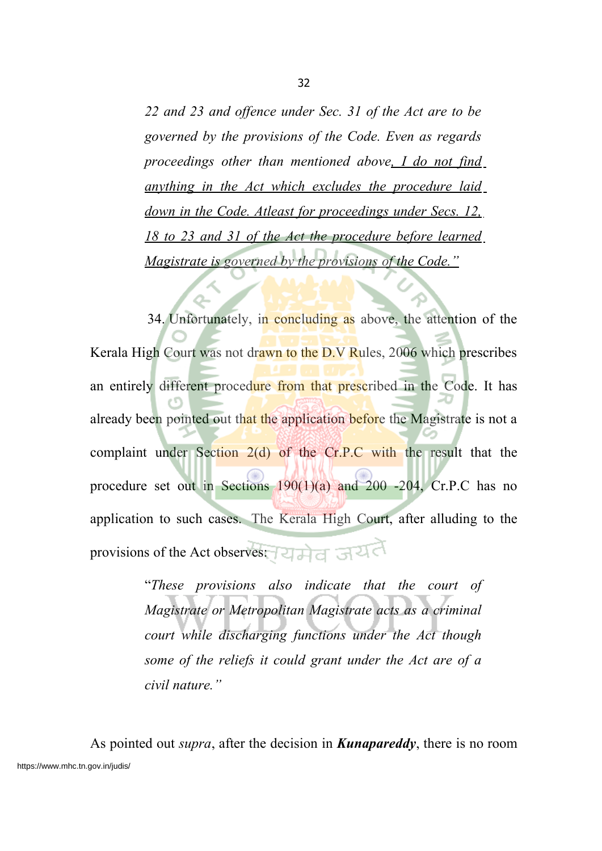*22 and 23 and offence under Sec. 31 of the Act are to be governed by the provisions of the Code. Even as regards proceedings other than mentioned above, I do not find anything in the Act which excludes the procedure laid down in the Code. Atleast for proceedings under Secs. 12, 18 to 23 and 31 of the Act the procedure before learned Magistrate is governed by the provisions of the Code."*

34. Unfortunately, in concluding as above, the attention of the Kerala High Court was not drawn to the D.V Rules, 2006 which prescribes an entirely different procedure from that prescribed in the Code. It has already been pointed out that the application before the Magistrate is not a complaint under Section  $2(d)$  of the Cr.P.C with the result that the procedure set out in Sections 190(1)(a) and 200 -204, Cr.P.C has no application to such cases. The Kerala High Court, after alluding to the provisions of the Act observes: यमेत जयत

> "*These provisions also indicate that the court of Magistrate or Metropolitan Magistrate acts as a criminal court while discharging functions under the Act though some of the reliefs it could grant under the Act are of a civil nature."*

As pointed out *supra*, after the decision in *Kunapareddy*, there is no room https://www.mhc.tn.gov.in/judis/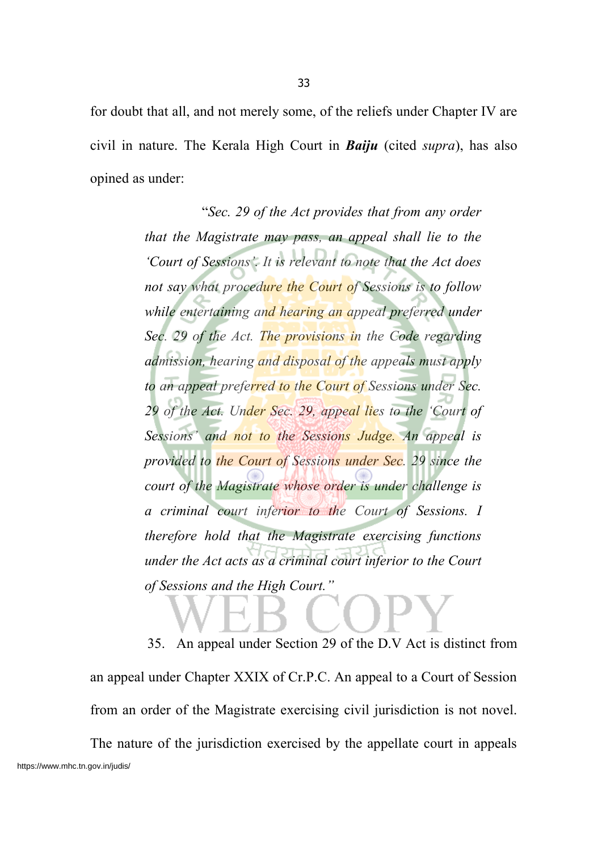for doubt that all, and not merely some, of the reliefs under Chapter IV are civil in nature. The Kerala High Court in *Baiju* (cited *supra*), has also opined as under:

> "*Sec. 29 of the Act provides that from any order that the Magistrate may pass, an appeal shall lie to the 'Court of Sessions'. It is relevant to note that the Act does not say what procedure the Court of Sessions is to follow while entertaining and hearing an appeal preferred under Sec. 29 of the Act. The provisions in the Code regarding admission, hearing and disposal of the appeals must apply to an appeal preferred to the Court of Sessions under Sec. 29 of the Act. Under Sec. 29, appeal lies to the 'Court of Sessions' and not to the Sessions Judge. An appeal is provided to the Court of Sessions under Sec. 29 since the court of the Magistrate whose order is under challenge is a criminal court inferior to the Court of Sessions. I therefore hold that the Magistrate exercising functions under the Act acts as a criminal court inferior to the Court of Sessions and the High Court."*

35. An appeal under Section 29 of the D.V Act is distinct from an appeal under Chapter XXIX of Cr.P.C. An appeal to a Court of Session from an order of the Magistrate exercising civil jurisdiction is not novel. The nature of the jurisdiction exercised by the appellate court in appeals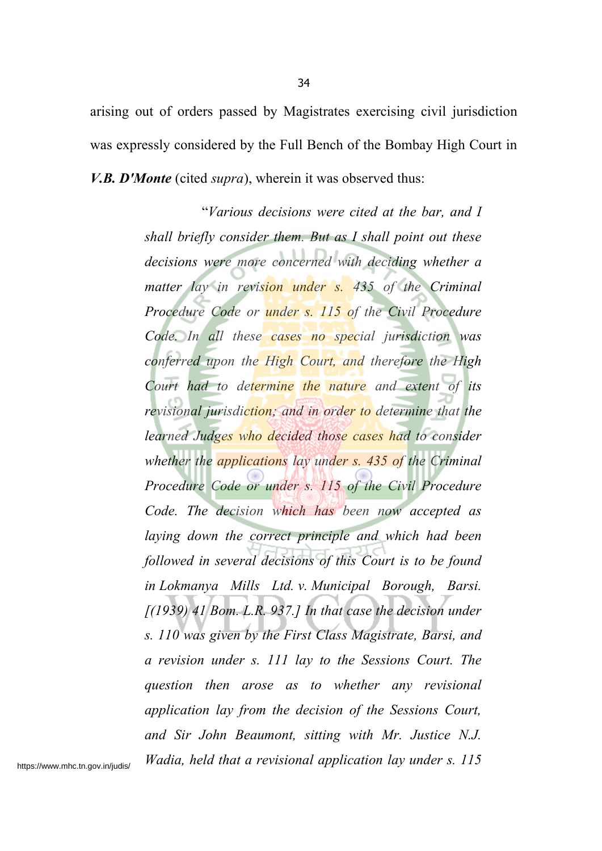arising out of orders passed by Magistrates exercising civil jurisdiction was expressly considered by the Full Bench of the Bombay High Court in *V.B. D'Monte* (cited *supra*), wherein it was observed thus:

> "*Various decisions were cited at the bar, and I shall briefly consider them. But as I shall point out these decisions were more concerned with deciding whether a matter lay in revision under s. 435 of the Criminal Procedure Code or under s. 115 of the Civil Procedure Code. In all these cases no special jurisdiction was conferred upon the High Court, and therefore the High Court had to determine the nature and extent of its revisional jurisdiction; and in order to determine that the learned Judges who decided those cases had to consider whether the applications lay under s. 435 of the Criminal Procedure Code or under s. 115 of the Civil Procedure Code. The decision which has been now accepted as laying down the correct principle and which had been followed in several decisions of this Court is to be found in Lokmanya Mills Ltd. v. Municipal Borough, Barsi. [(1939) 41 Bom. L.R. 937.] In that case the decision under s. 110 was given by the First Class Magistrate, Barsi, and a revision under s. 111 lay to the Sessions Court. The question then arose as to whether any revisional application lay from the decision of the Sessions Court, and Sir John Beaumont, sitting with Mr. Justice N.J. Wadia, held that a revisional application lay under s. 115*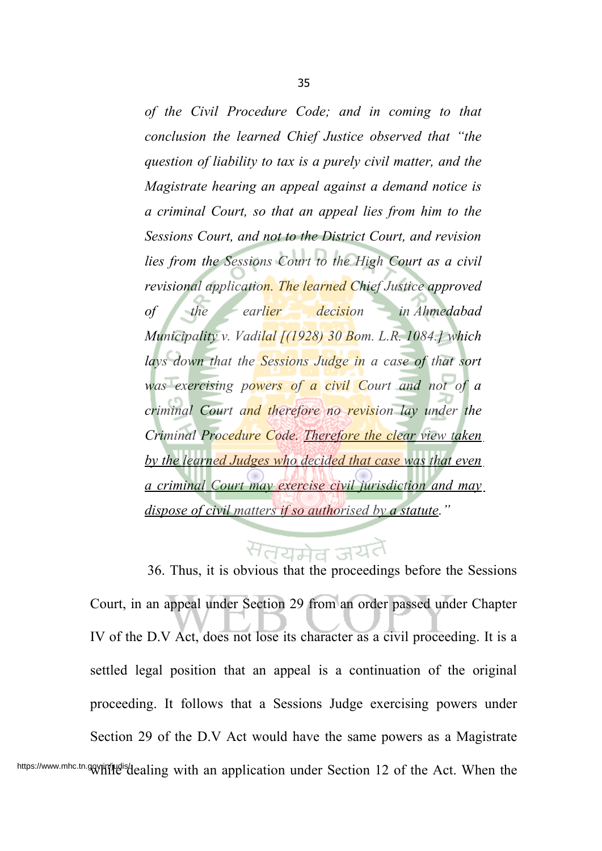*of the Civil Procedure Code; and in coming to that conclusion the learned Chief Justice observed that "the question of liability to tax is a purely civil matter, and the Magistrate hearing an appeal against a demand notice is a criminal Court, so that an appeal lies from him to the Sessions Court, and not to the District Court, and revision lies from the Sessions Court to the High Court as a civil revisional application. The learned Chief Justice approved of the earlier decision in Ahmedabad Municipality v. Vadilal [(1928) 30 Bom. L.R. 1084.] which lays down that the Sessions Judge in a case of that sort was exercising powers of a civil Court and not of a criminal Court and therefore no revision lay under the Criminal Procedure Code. Therefore the clear view taken by the learned Judges who decided that case was that even a criminal Court may exercise civil jurisdiction and may dispose of civil matters if so authorised by a statute."*

# सतयमेव ज<sup>यत</sup>

36. Thus, it is obvious that the proceedings before the Sessions Court, in an appeal under Section 29 from an order passed under Chapter IV of the D.V Act, does not lose its character as a civil proceeding. It is a settled legal position that an appeal is a continuation of the original proceeding. It follows that a Sessions Judge exercising powers under Section 29 of the D.V Act would have the same powers as a Magistrate https://www.mhc.tn.govjiYijudisdealing with an application under Section 12 of the Act. When the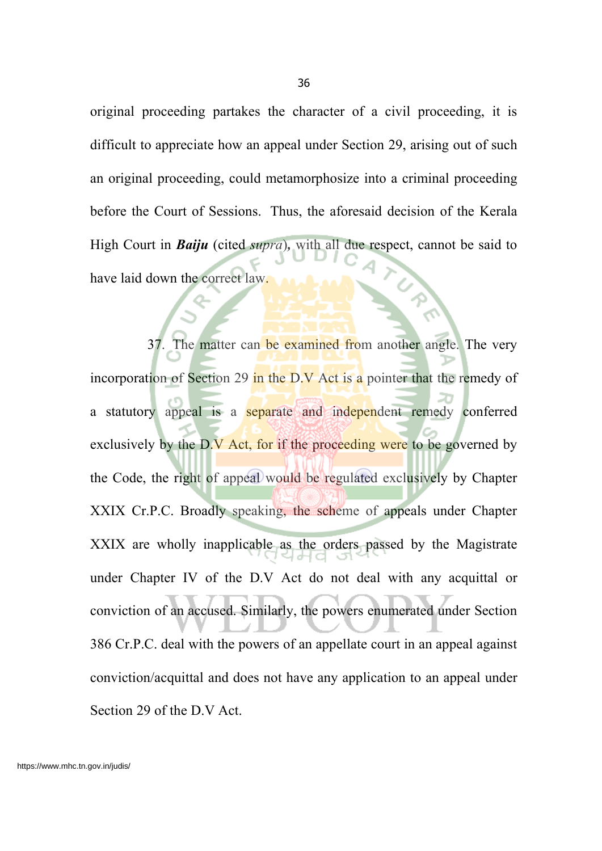original proceeding partakes the character of a civil proceeding, it is difficult to appreciate how an appeal under Section 29, arising out of such an original proceeding, could metamorphosize into a criminal proceeding before the Court of Sessions. Thus, the aforesaid decision of the Kerala High Court in *Baiju* (cited *supra*)*,* with all due respect, cannot be said to have laid down the correct law.

37. The matter can be examined from another angle. The very incorporation of Section 29 in the D.V Act is a pointer that the remedy of a statutory appeal is a separate and independent remedy conferred exclusively by the D.V Act, for if the proceeding were to be governed by the Code, the right of appeal would be regulated exclusively by Chapter XXIX Cr.P.C. Broadly speaking, the scheme of appeals under Chapter XXIX are wholly inapplicable as the orders passed by the Magistrate under Chapter IV of the D.V Act do not deal with any acquittal or conviction of an accused. Similarly, the powers enumerated under Section 386 Cr.P.C. deal with the powers of an appellate court in an appeal against conviction/acquittal and does not have any application to an appeal under Section 29 of the D.V Act.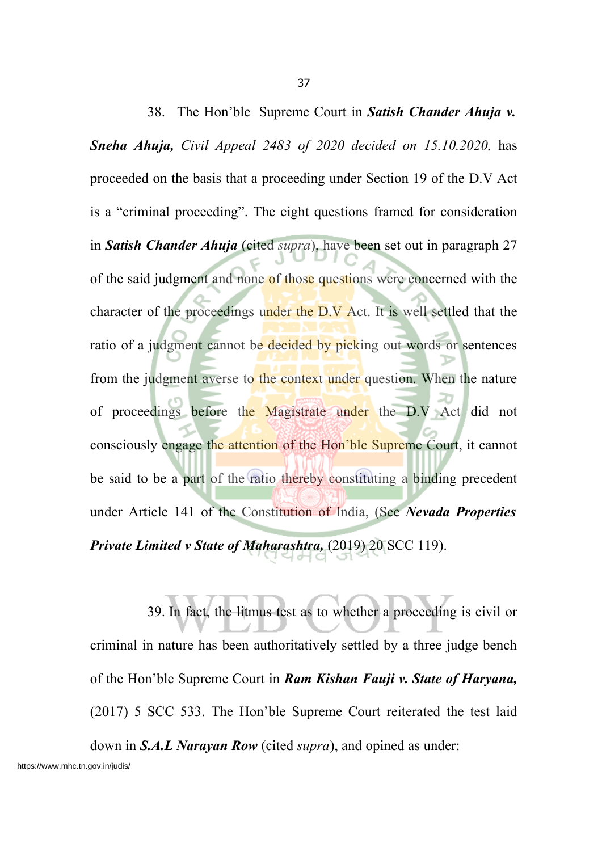38. The Hon'ble Supreme Court in *Satish Chander Ahuja v. Sneha Ahuja, Civil Appeal 2483 of 2020 decided on 15.10.2020,* has proceeded on the basis that a proceeding under Section 19 of the D.V Act is a "criminal proceeding". The eight questions framed for consideration in *Satish Chander Ahuja* (cited *supra*), have been set out in paragraph 27 of the said judgment and none of those questions were concerned with the character of the proceedings under the  $\overline{D}$ . V Act. It is well settled that the ratio of a judgment cannot be decided by picking out words or sentences from the judgment averse to the context under question. When the nature of proceedings before the Magistrate under the D.V Act did not consciously engage the attention of the Hon'ble Supreme Court, it cannot be said to be a part of the ratio thereby constituting a binding precedent under Article 141 of the Constitution of India, (See *Nevada Properties Private Limited v State of Maharashtra,* (2019) 20 SCC 119).

39. In fact, the litmus test as to whether a proceeding is civil or criminal in nature has been authoritatively settled by a three judge bench of the Hon'ble Supreme Court in *Ram Kishan Fauji v. State of Haryana,* (2017) 5 SCC 533. The Hon'ble Supreme Court reiterated the test laid down in *S.A.L Narayan Row* (cited *supra*), and opined as under: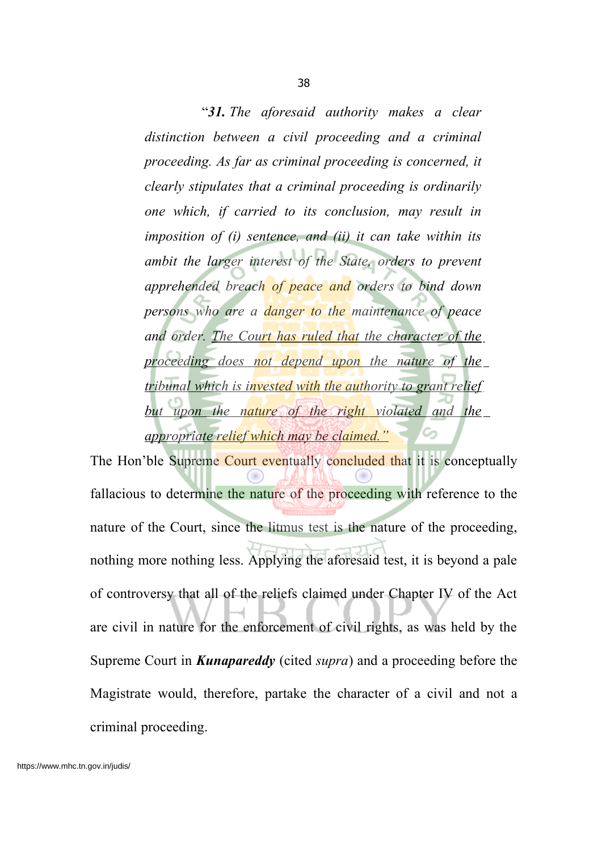38

"*31. The aforesaid authority makes a clear distinction between a civil proceeding and a criminal proceeding. As far as criminal proceeding is concerned, it clearly stipulates that a criminal proceeding is ordinarily one which, if carried to its conclusion, may result in imposition of (i) sentence, and (ii) it can take within its ambit the larger interest of the State, orders to prevent apprehended breach of peace and orders to bind down persons who are a danger to the maintenance of peace and order. The Court has ruled that the character of the proceeding does not depend upon the nature of the tribunal which is invested with the authority to grant relief but upon the nature of the right violated and the appropriate relief which may be claimed."*

The Hon'ble Supreme Court eventually concluded that it is conceptually fallacious to determine the nature of the proceeding with reference to the nature of the Court, since the litmus test is the nature of the proceeding, nothing more nothing less. Applying the aforesaid test, it is beyond a pale of controversy that all of the reliefs claimed under Chapter IV of the Act are civil in nature for the enforcement of civil rights, as was held by the Supreme Court in *Kunapareddy* (cited *supra*) and a proceeding before the Magistrate would, therefore, partake the character of a civil and not a criminal proceeding.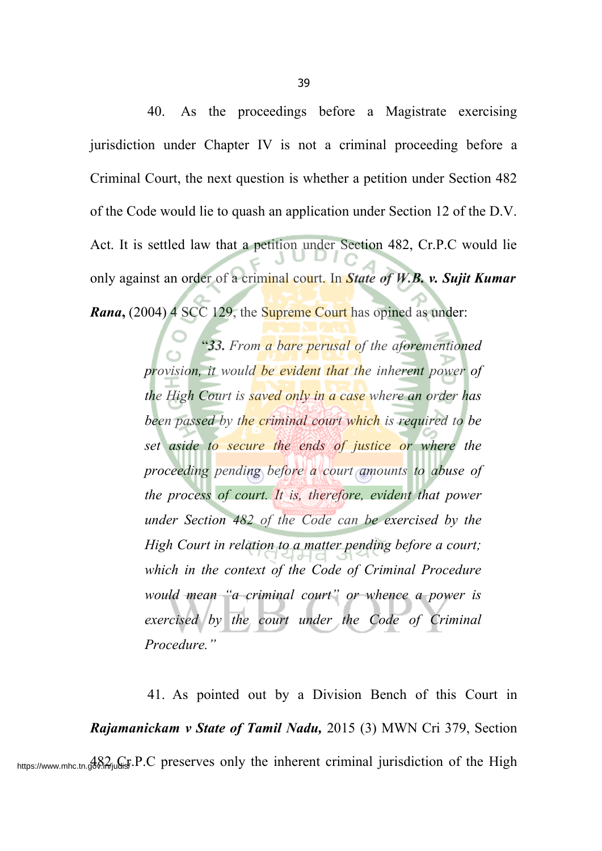40. As the proceedings before a Magistrate exercising jurisdiction under Chapter IV is not a criminal proceeding before a Criminal Court, the next question is whether a petition under Section 482 of the Code would lie to quash an application under Section 12 of the D.V. Act. It is settled law that a petition under Section 482, Cr.P.C would lie only against an order of a criminal court. In *State of W.B. v. Sujit Kumar Rana*, (2004) 4 SCC 129, the Supreme Court has opined as under:

> "*33. From a bare perusal of the aforementioned provision, it would be evident that the inherent power of the High Court is saved only in a case where an order has been passed by the criminal court which is required to be set aside to secure the ends of justice or where the proceeding pending before a court amounts to abuse of the process of court. It is, therefore, evident that power under Section 482 of the Code can be exercised by the High Court in relation to a matter pending before a court; which in the context of the Code of Criminal Procedure would mean "a criminal court" or whence a power is exercised by the court under the Code of Criminal Procedure."*

41. As pointed out by a Division Bench of this Court in *Rajamanickam v State of Tamil Nadu,* 2015 (3) MWN Cri 379, Section https://www.mhc.tn.gov.in/judis/ P.C preserves only the inherent criminal jurisdiction of the High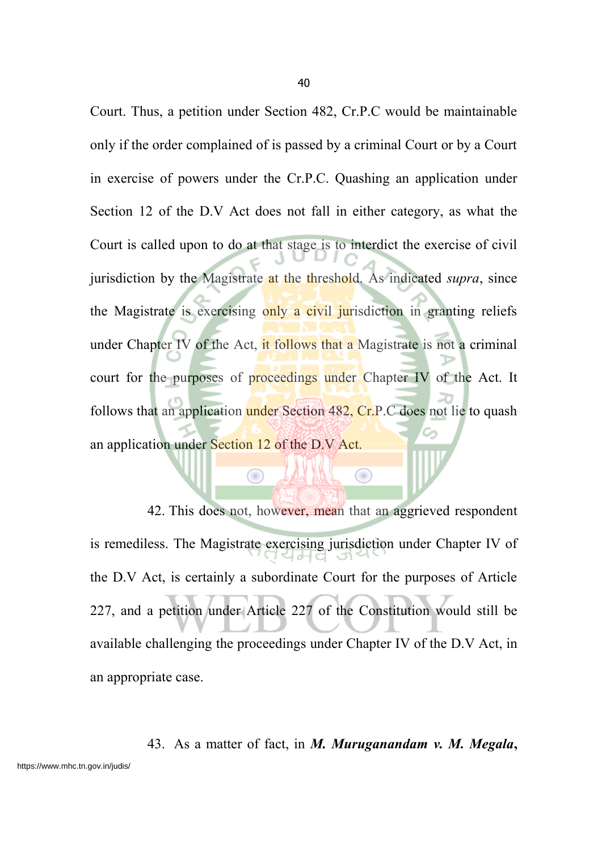Court. Thus, a petition under Section 482, Cr.P.C would be maintainable only if the order complained of is passed by a criminal Court or by a Court in exercise of powers under the Cr.P.C. Quashing an application under Section 12 of the D.V Act does not fall in either category, as what the Court is called upon to do at that stage is to interdict the exercise of civil jurisdiction by the Magistrate at the threshold. As indicated *supra*, since the Magistrate is exercising only a civil jurisdiction in granting reliefs under Chapter IV of the Act, it follows that a Magistrate is not a criminal court for the purposes of proceedings under Chapter IV of the Act. It follows that an application under Section 482, Cr.P.C does not lie to quash an application under Section 12 of the D.V Act.

42. This does not, however, mean that an aggrieved respondent is remediless. The Magistrate exercising jurisdiction under Chapter IV of the D.V Act, is certainly a subordinate Court for the purposes of Article 227, and a petition under Article 227 of the Constitution would still be available challenging the proceedings under Chapter IV of the D.V Act, in an appropriate case.

 $\bigcirc$ 

◉

43. As a matter of fact, in *M. Muruganandam v. M. Megala***,**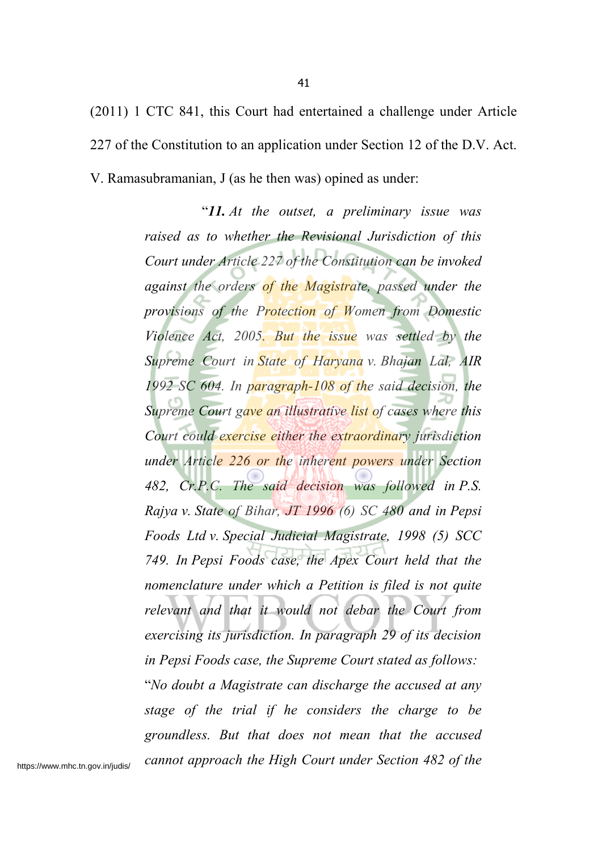(2011) 1 CTC 841, this Court had entertained a challenge under Article 227 of the Constitution to an application under Section 12 of the D.V. Act. V. Ramasubramanian, J (as he then was) opined as under:

> "*11. At the outset, a preliminary issue was raised as to whether the Revisional Jurisdiction of this Court under Article 227 of the Constitution can be invoked against the orders of the Magistrate, passed under the provisions of the Protection of Women from Domestic Violence Act, 2005. But the issue was settled by the Supreme Court in State of Haryana v. Bhajan Lal, AIR 1992 SC 604. In paragraph-108 of the said decision, the Supreme Court gave an illustrative list of cases where this Court could exercise either the extraordinary jurisdiction under Article 226 or the inherent powers under Section 482, Cr.P.C. The said decision was followed in P.S. Rajya v. State of Bihar, JT 1996 (6) SC 480 and in Pepsi Foods Ltd v. Special Judicial Magistrate, 1998 (5) SCC 749. In Pepsi Foods case, the Apex Court held that the nomenclature under which a Petition is filed is not quite relevant and that it would not debar the Court from exercising its jurisdiction. In paragraph 29 of its decision in Pepsi Foods case, the Supreme Court stated as follows:* "*No doubt a Magistrate can discharge the accused at any stage of the trial if he considers the charge to be groundless. But that does not mean that the accused cannot approach the High Court under Section 482 of the*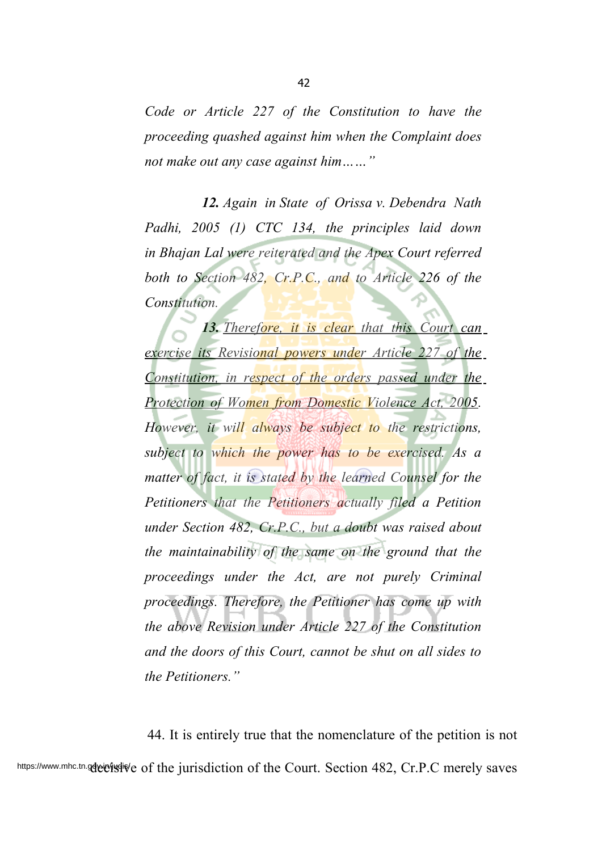*Code or Article 227 of the Constitution to have the proceeding quashed against him when the Complaint does not make out any case against him……"*

*12. Again in State of Orissa v. Debendra Nath Padhi, 2005 (1) CTC 134, the principles laid down in Bhajan Lal were reiterated and the Apex Court referred both to Section 482, Cr.P.C., and to Article 226 of the Constitution.*

*13. Therefore, it is clear that this Court can exercise its Revisional powers under Article 227 of the Constitution, in respect of the orders passed under the Protection of Women from Domestic Violence Act, 2005. However, it will always be subject to the restrictions, subject to which the power has to be exercised. As a matter of fact, it is stated by the learned Counsel for the Petitioners that the Petitioners actually filed a Petition under Section 482, Cr.P.C., but a doubt was raised about the maintainability of the same on the ground that the proceedings under the Act, are not purely Criminal proceedings. Therefore, the Petitioner has come up with the above Revision under Article 227 of the Constitution and the doors of this Court, cannot be shut on all sides to the Petitioners."*

44. It is entirely true that the nomenclature of the petition is not https://www.mhc.tn.gdeie/jsqlive of the jurisdiction of the Court. Section 482, Cr.P.C merely saves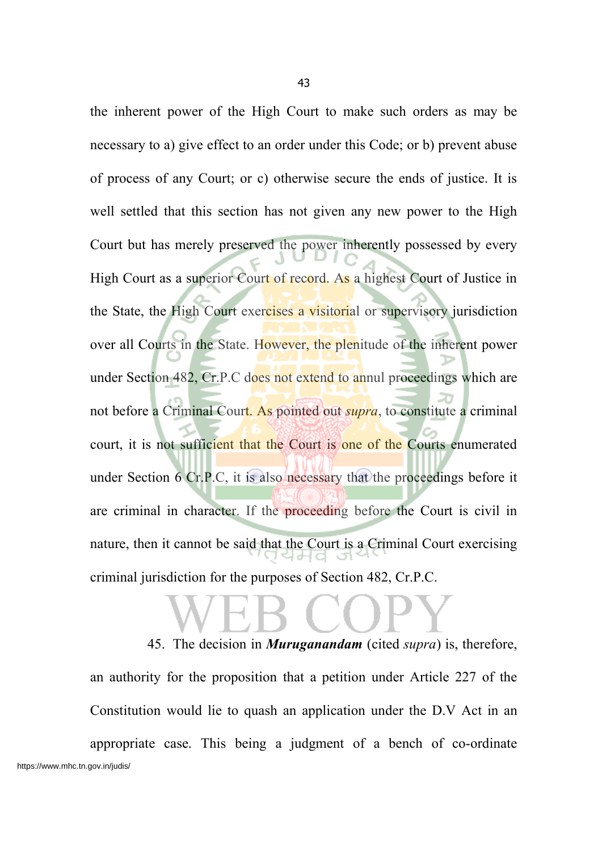the inherent power of the High Court to make such orders as may be necessary to a) give effect to an order under this Code; or b) prevent abuse of process of any Court; or c) otherwise secure the ends of justice. It is well settled that this section has not given any new power to the High Court but has merely preserved the power inherently possessed by every High Court as a superior Court of record. As a highest Court of Justice in the State, the High Court exercises a visitorial or supervisory jurisdiction over all Courts in the State. However, the plenitude of the inherent power under Section 482, Cr.P.C does not extend to annul proceedings which are not before a Criminal Court. As pointed out *supra*, to constitute a criminal court, it is not sufficient that the Court is one of the Courts enumerated under Section 6 Cr.P.C, it is also necessary that the proceedings before it are criminal in character. If the proceeding before the Court is civil in nature, then it cannot be said that the Court is a Criminal Court exercising criminal jurisdiction for the purposes of Section 482, Cr.P.C.

45. The decision in *Muruganandam* (cited *supra*) is, therefore, an authority for the proposition that a petition under Article 227 of the Constitution would lie to quash an application under the D.V Act in an appropriate case. This being a judgment of a bench of co-ordinate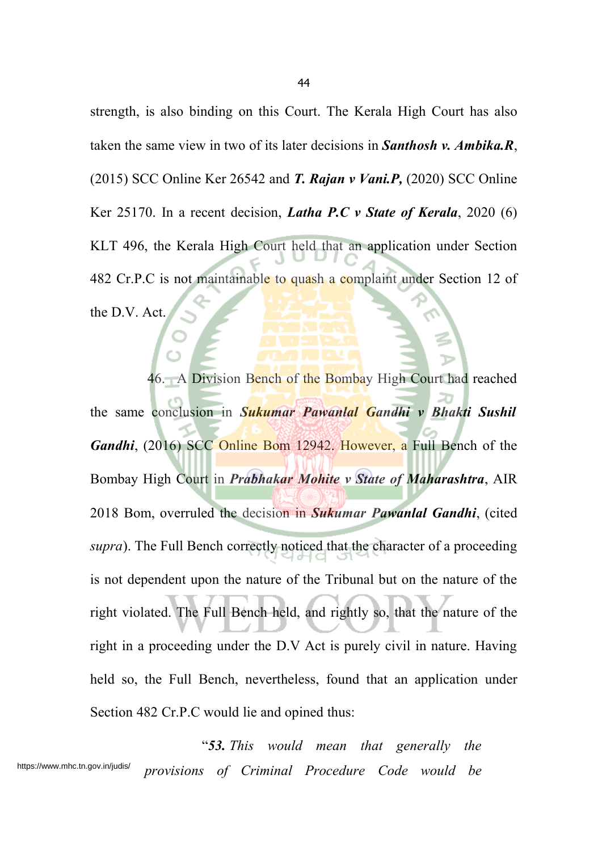strength, is also binding on this Court. The Kerala High Court has also taken the same view in two of its later decisions in *Santhosh v. Ambika.R*, (2015) SCC Online Ker 26542 and *T. Rajan v Vani.P,* (2020) SCC Online Ker 25170. In a recent decision, *Latha P.C v State of Kerala*, 2020 (6) KLT 496, the Kerala High Court held that an application under Section 482 Cr.P.C is not maintainable to quash a complaint under Section 12 of the D.V. Act.

46. A Division Bench of the Bombay High Court had reached the same conclusion in *Sukumar Pawanlal Gandhi v Bhakti Sushil Gandhi*, (2016) SCC Online Bom 12942. However, a Full Bench of the Bombay High Court in *Prabhakar Mohite v State of Maharashtra*, AIR 2018 Bom, overruled the decision in *Sukumar Pawanlal Gandhi*, (cited *supra*). The Full Bench correctly noticed that the character of a proceeding is not dependent upon the nature of the Tribunal but on the nature of the right violated. The Full Bench held, and rightly so, that the nature of the right in a proceeding under the D.V Act is purely civil in nature. Having held so, the Full Bench, nevertheless, found that an application under Section 482 Cr.P.C would lie and opined thus:

"*53. This would mean that generally the provisions of Criminal Procedure Code would be* https://www.mhc.tn.gov.in/judis/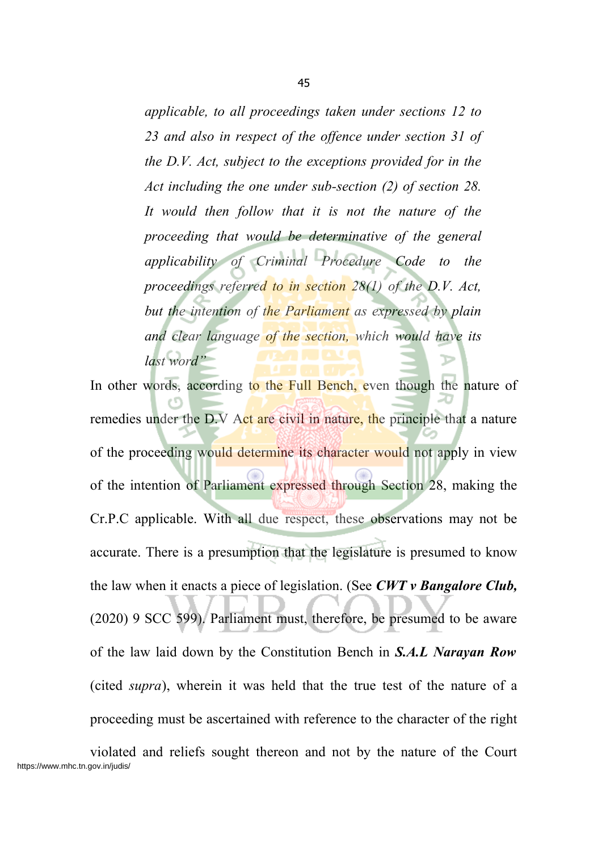*applicable, to all proceedings taken under sections 12 to 23 and also in respect of the offence under section 31 of the D.V. Act, subject to the exceptions provided for in the Act including the one under sub-section (2) of section 28. It would then follow that it is not the nature of the proceeding that would be determinative of the general applicability of Criminal Procedure Code to the proceedings referred to in section 28(1) of the D.V. Act, but the intention of the Parliament as expressed by plain and clear language of the section, which would have its last word"*

In other words, according to the Full Bench, even though the nature of remedies under the D.V Act are civil in nature, the principle that a nature of the proceeding would determine its character would not apply in view of the intention of Parliament expressed through Section 28, making the Cr.P.C applicable. With all due respect, these observations may not be accurate. There is a presumption that the legislature is presumed to know the law when it enacts a piece of legislation. (See *CWT v Bangalore Club,* (2020) 9 SCC 599). Parliament must, therefore, be presumed to be aware of the law laid down by the Constitution Bench in *S.A.L Narayan Row* (cited *supra*), wherein it was held that the true test of the nature of a proceeding must be ascertained with reference to the character of the right

violated and reliefs sought thereon and not by the nature of the Court https://www.mhc.tn.gov.in/judis/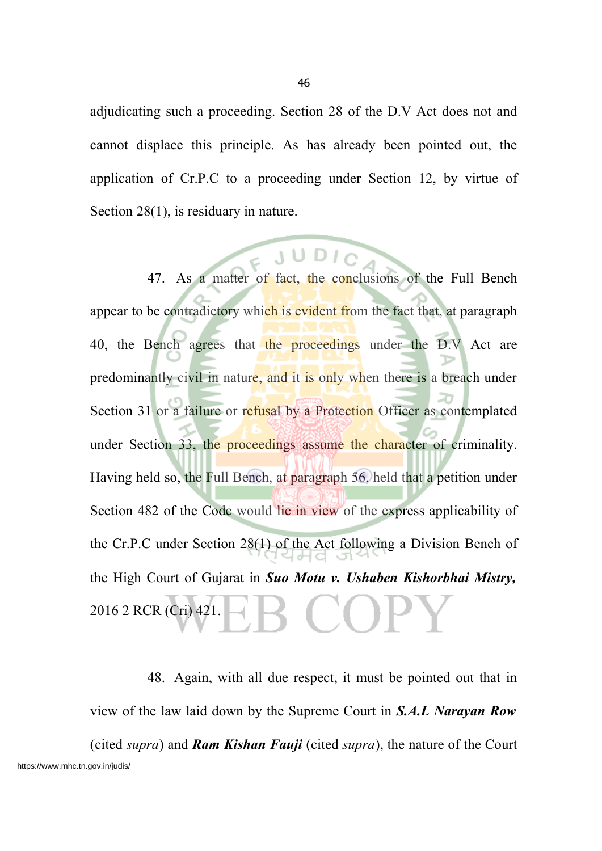adjudicating such a proceeding. Section 28 of the D.V Act does not and cannot displace this principle. As has already been pointed out, the application of Cr.P.C to a proceeding under Section 12, by virtue of Section 28(1), is residuary in nature.

47. As a matter of fact, the conclusions of the Full Bench appear to be contradictory which is evident from the fact that, at paragraph 40, the Bench agrees that the proceedings under the D.V Act are predominantly civil in nature, and it is only when there is a breach under Section 31 or a failure or refusal by a Protection Officer as contemplated under Section 33, the proceedings assume the character of criminality. Having held so, the Full Bench, at paragraph 56, held that a petition under Section 482 of the Code would lie in view of the express applicability of the Cr.P.C under Section 28(1) of the Act following a Division Bench of the High Court of Gujarat in *Suo Motu v. Ushaben Kishorbhai Mistry,* 2016 2 RCR (Cri) 421.

48. Again, with all due respect, it must be pointed out that in view of the law laid down by the Supreme Court in *S.A.L Narayan Row* (cited *supra*) and *Ram Kishan Fauji* (cited *supra*), the nature of the Court https://www.mhc.tn.gov.in/judis/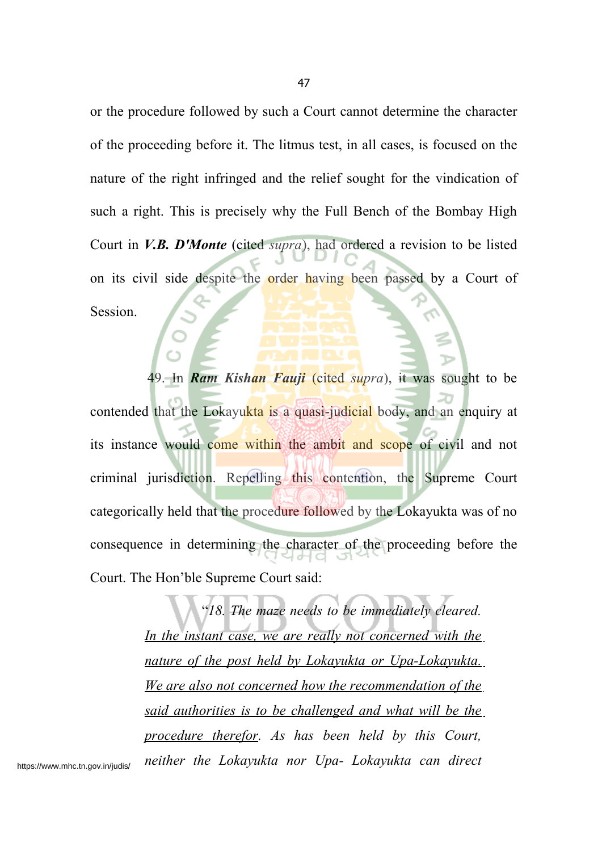or the procedure followed by such a Court cannot determine the character of the proceeding before it. The litmus test, in all cases, is focused on the nature of the right infringed and the relief sought for the vindication of such a right. This is precisely why the Full Bench of the Bombay High Court in *V.B. D'Monte* (cited *supra*), had ordered a revision to be listed on its civil side despite the order having been passed by a Court of Session.

49. In *Ram Kishan Fauji* (cited *supra*), it was sought to be contended that the Lokayukta is a quasi-judicial body, and an enquiry at its instance would come within the ambit and scope of civil and not criminal jurisdiction. Repelling this contention, the Supreme Court categorically held that the procedure followed by the Lokayukta was of no consequence in determining the character of the proceeding before the Court. The Hon'ble Supreme Court said:

> "*18. The maze needs to be immediately cleared. In the instant case, we are really not concerned with the nature of the post held by Lokayukta or Upa-Lokayukta. We are also not concerned how the recommendation of the said authorities is to be challenged and what will be the procedure therefor. As has been held by this Court, neither the Lokayukta nor Upa- Lokayukta can direct*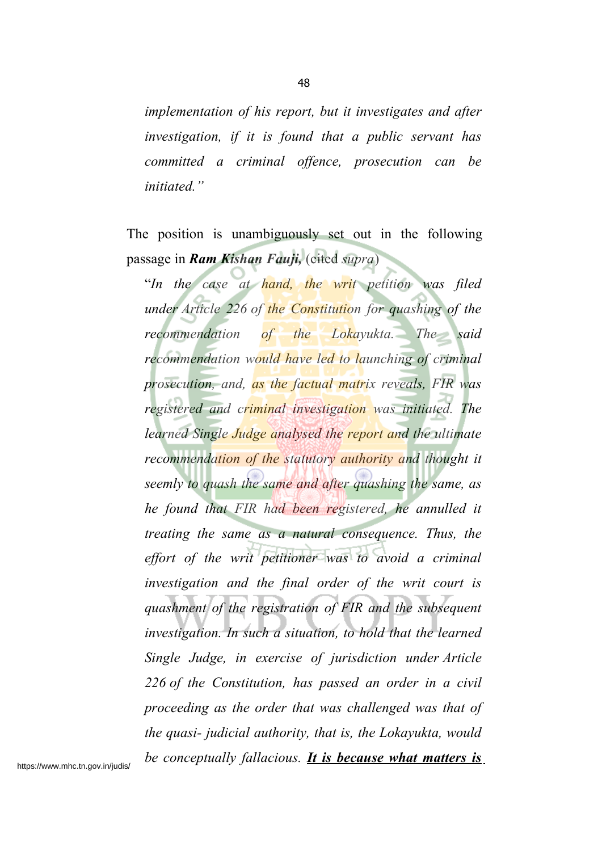*implementation of his report, but it investigates and after investigation, if it is found that a public servant has committed a criminal offence, prosecution can be initiated."*

The position is unambiguously set out in the following passage in *Ram Kishan Fauji,* (cited *supra*)

"*In the case at hand, the writ petition was filed under Article 226 of the Constitution for quashing of the recommendation of the Lokayukta. The said recommendation would have led to launching of criminal prosecution, and, as the factual matrix reveals, FIR was registered and criminal investigation was initiated. The learned Single Judge analysed the report and the ultimate recommendation of the statutory authority and thought it seemly to quash the same and after quashing the same, as he found that FIR had been registered, he annulled it treating the same as a natural consequence. Thus, the effort of the writ petitioner was to avoid a criminal investigation and the final order of the writ court is quashment of the registration of FIR and the subsequent investigation. In such a situation, to hold that the learned Single Judge, in exercise of jurisdiction under Article 226 of the Constitution, has passed an order in a civil proceeding as the order that was challenged was that of the quasi- judicial authority, that is, the Lokayukta, would be conceptually fallacious. It is because what matters is*

https://www.mhc.tn.gov.in/judis/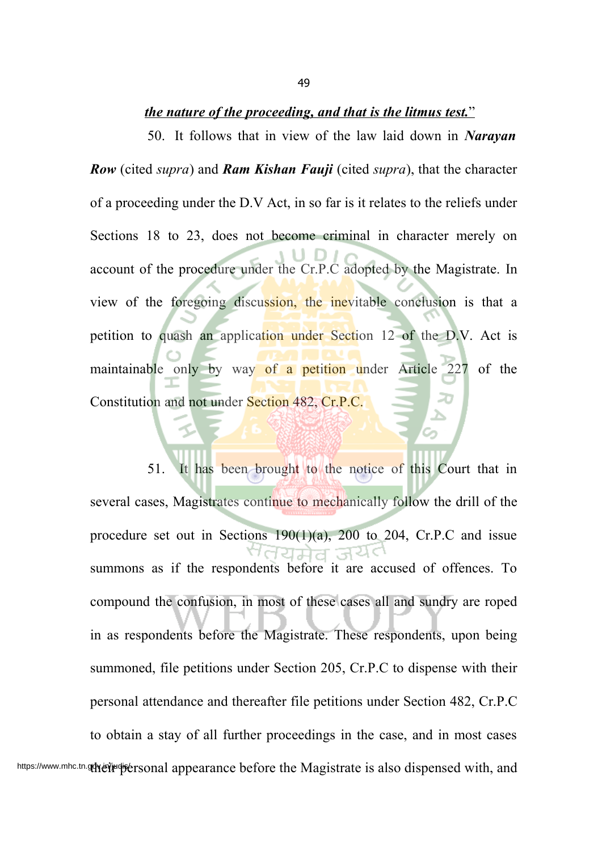#### *t he nature of the proceeding, and that is the litmus test.*"

50. It follows that in view of the law laid down in *Narayan Row* (cited *supra*) and *Ram Kishan Fauji* (cited *supra*), that the character of a proceeding under the D.V Act, in so far is it relates to the reliefs under Sections 18 to 23, does not become criminal in character merely on account of the procedure under the Cr.P.C adopted by the Magistrate. In view of the foregoing discussion, the inevitable conclusion is that a petition to quash an application under Section 12 of the D.V. Act is maintainable only by way of a petition under Article 227 of the Constitution and not under Section 482, Cr.P.C.

51. It has been brought to the notice of this Court that in several cases, Magistrates continue to mechanically follow the drill of the procedure set out in Sections  $190(1)(a)$ ,  $200$  to  $204$ , Cr.P.C and issue summons as if the respondents before it are accused of offences. To compound the confusion, in most of these cases all and sundry are roped in as respondents before the Magistrate. These respondents, upon being summoned, file petitions under Section 205, Cr.P.C to dispense with their personal attendance and thereafter file petitions under Section 482, Cr.P.C to obtain a stay of all further proceedings in the case, and in most cases https://www.mhc.tn.gelyer/judis/ersonal appearance before the Magistrate is also dispensed with, and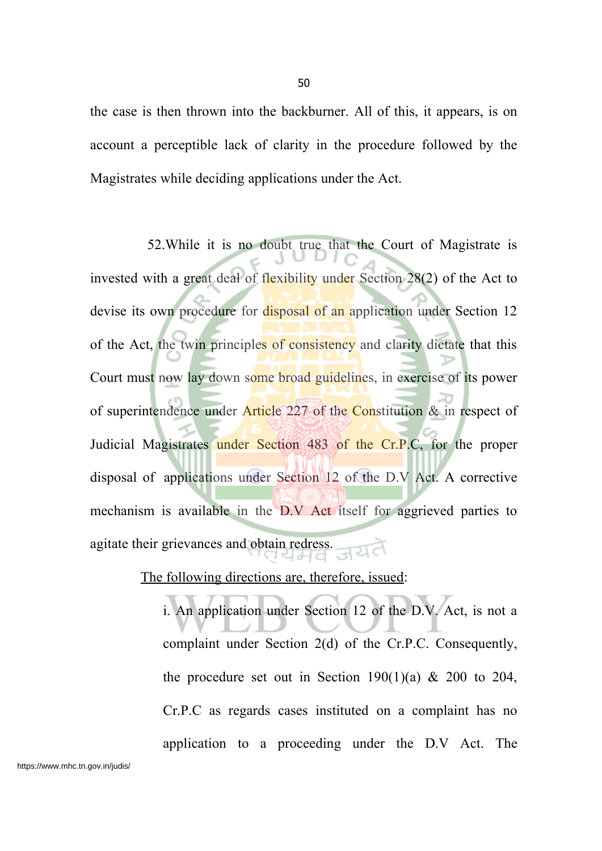the case is then thrown into the backburner. All of this, it appears, is on account a perceptible lack of clarity in the procedure followed by the Magistrates while deciding applications under the Act.

52.While it is no doubt true that the Court of Magistrate is invested with a great deal of flexibility under Section 28(2) of the Act to devise its own procedure for disposal of an application under Section 12 of the Act, the twin principles of consistency and clarity dictate that this Court must now lay down some broad guidelines, in exercise of its power of superintendence under Article 227 of the Constitution & in respect of Judicial Magistrates under Section 483 of the Cr.P.C, for the proper disposal of applications under Section 12 of the D.V Act. A corrective mechanism is available in the D.V Act itself for aggrieved parties to agitate their grievances and obtain redress.

The following directions are, therefore, issued:

i. An application under Section 12 of the D.V. Act, is not a complaint under Section 2(d) of the Cr.P.C. Consequently, the procedure set out in Section 190(1)(a)  $\&$  200 to 204, Cr.P.C as regards cases instituted on a complaint has no application to a proceeding under the D.V Act. The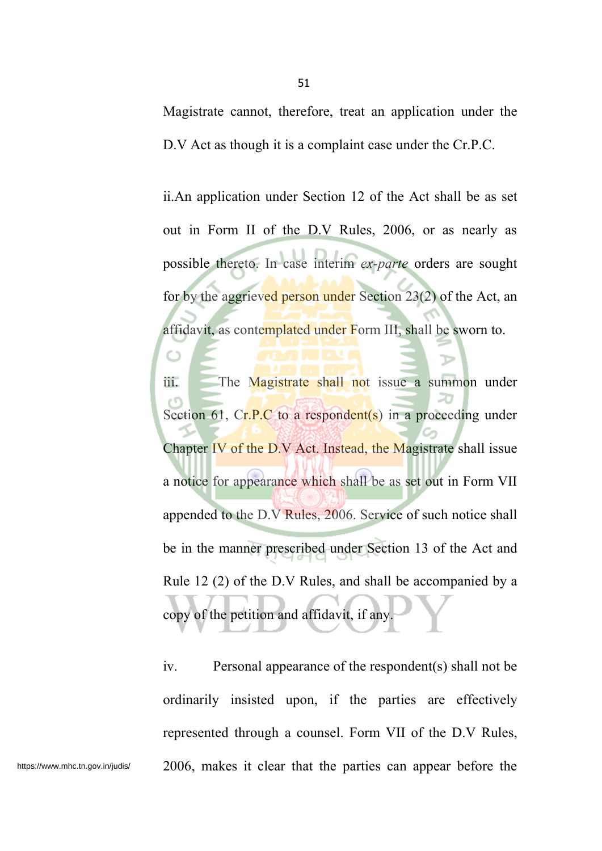Magistrate cannot, therefore, treat an application under the D.V Act as though it is a complaint case under the Cr.P.C.

ii.An application under Section 12 of the Act shall be as set out in Form II of the D.V Rules, 2006, or as nearly as possible thereto. In case interim *ex-parte* orders are sought for by the aggrieved person under Section 23(2) of the Act, an affidavit, as contemplated under Form III, shall be sworn to.

iii. The Magistrate shall not issue a summon under Section 61,  $Cr.P.C$  to a respondent(s) in a proceeding under Chapter IV of the D.V Act. Instead, the Magistrate shall issue a notice for appearance which shall be as set out in Form VII appended to the D.V Rules, 2006. Service of such notice shall be in the manner prescribed under Section 13 of the Act and Rule 12 (2) of the D.V Rules, and shall be accompanied by a copy of the petition and affidavit, if any.

iv. Personal appearance of the respondent(s) shall not be ordinarily insisted upon, if the parties are effectively represented through a counsel. Form VII of the D.V Rules, https://www.mhc.tn.gov.in/judis/ 2006, makes it clear that the parties can appear before the

O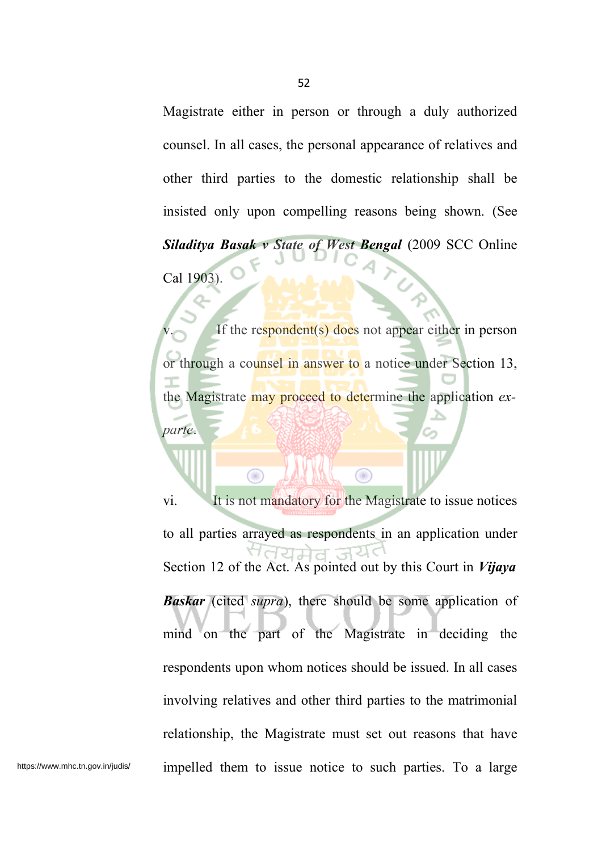Magistrate either in person or through a duly authorized counsel. In all cases, the personal appearance of relatives and other third parties to the domestic relationship shall be insisted only upon compelling reasons being shown. (See *Siladitya Basak v State of West Bengal* (2009 SCC Online Cal 1903).

If the respondent(s) does not appear either in person or through a counsel in answer to a notice under Section 13, the Magistrate may proceed to determine the application *exparte*.

Œ

vi. It is not mandatory for the Magistrate to issue notices to all parties arrayed as respondents in an application under Section 12 of the Act. As pointed out by this Court in *Vijaya Baskar* (cited *supra*), there should be some application of mind on the part of the Magistrate in deciding the respondents upon whom notices should be issued. In all cases involving relatives and other third parties to the matrimonial relationship, the Magistrate must set out reasons that have https://www.mhc.tn.gov.in/judis/ impelled them to issue notice to such parties. To a large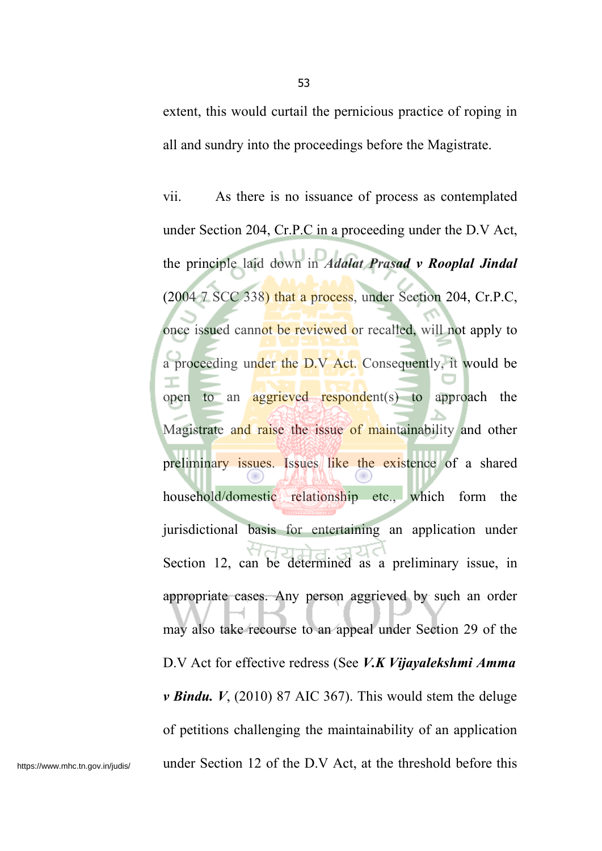extent, this would curtail the pernicious practice of roping in all and sundry into the proceedings before the Magistrate.

vii. As there is no issuance of process as contemplated under Section 204, Cr.P.C in a proceeding under the D.V Act, the principle laid down in *Adalat Prasad v Rooplal Jindal* (2004 7 SCC 338) that a process, under Section 204, Cr.P.C, once issued cannot be reviewed or recalled, will not apply to a proceeding under the D.V Act. Consequently, it would be open to an **aggrieved respondent**(s) to approach the Magistrate and raise the issue of maintainability and other preliminary issues. Issues like the existence of a shared household/domestic relationship etc., which form the jurisdictional basis for entertaining an application under Section 12, can be determined as a preliminary issue, in appropriate cases. Any person aggrieved by such an order may also take recourse to an appeal under Section 29 of the D.V Act for effective redress (See *V.K Vijayalekshmi Amma v Bindu. V*, (2010) 87 AIC 367). This would stem the deluge of petitions challenging the maintainability of an application https://www.mhc.tn.gov.in/judis/ under Section 12 of the D.V Act, at the threshold before this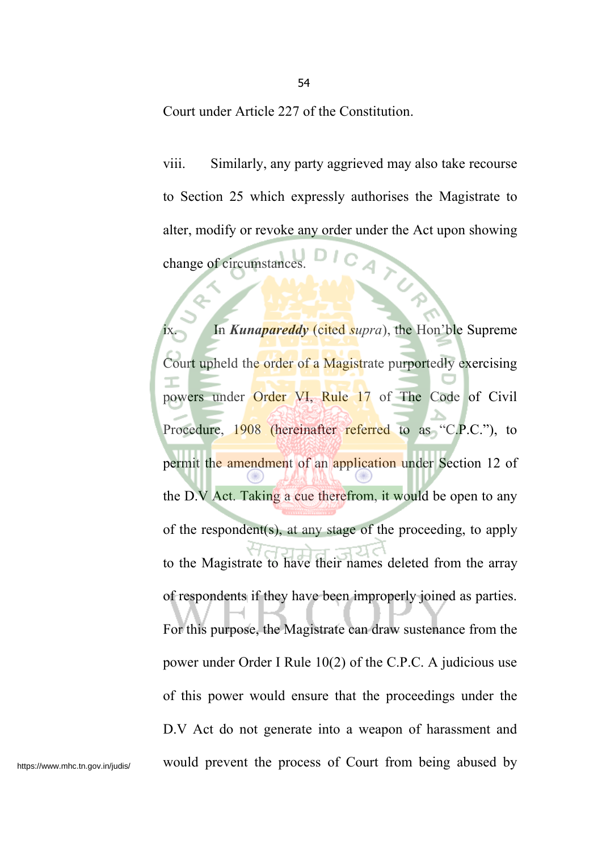Court under Article 227 of the Constitution.

viii. Similarly, any party aggrieved may also take recourse to Section 25 which expressly authorises the Magistrate to alter, modify or revoke any order under the Act upon showing change of circumstances.

In *Kunapareddy* (cited *supra*), the Hon'ble Supreme Court upheld the order of a Magistrate purportedly exercising powers under Order VI, Rule 17 of The Code of Civil Procedure, 1908 (hereinafter referred to as "C.P.C."), to permit the amendment of an application under Section 12 of the D.V Act. Taking a cue therefrom, it would be open to any of the respondent(s), at any stage of the proceeding, to apply to the Magistrate to have their names deleted from the array of respondents if they have been improperly joined as parties. For this purpose, the Magistrate can draw sustenance from the power under Order I Rule 10(2) of the C.P.C. A judicious use of this power would ensure that the proceedings under the D.V Act do not generate into a weapon of harassment and https://www.mhc.tn.gov.in/judis/ would prevent the process of Court from being abused by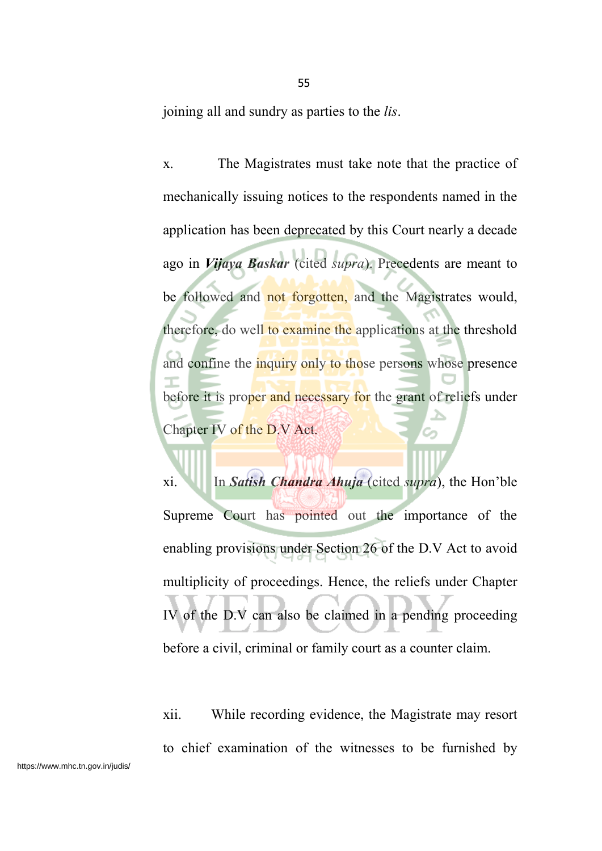joining all and sundry as parties to the *lis*.

x. The Magistrates must take note that the practice of mechanically issuing notices to the respondents named in the application has been deprecated by this Court nearly a decade ago in *Vijaya Baskar* (cited *supra*). Precedents are meant to be followed and not forgotten, and the Magistrates would, therefore, do well to examine the applications at the threshold and confine the inquiry only to those persons whose presence before it is proper and necessary for the grant of reliefs under Chapter IV of the D.V Act.

xi. In *Satish Chandra Ahuja* (cited *supra*), the Hon'ble Supreme Court has pointed out the importance of the enabling provisions under Section 26 of the D.V Act to avoid multiplicity of proceedings. Hence, the reliefs under Chapter IV of the D.V can also be claimed in a pending proceeding before a civil, criminal or family court as a counter claim.

xii. While recording evidence, the Magistrate may resort to chief examination of the witnesses to be furnished by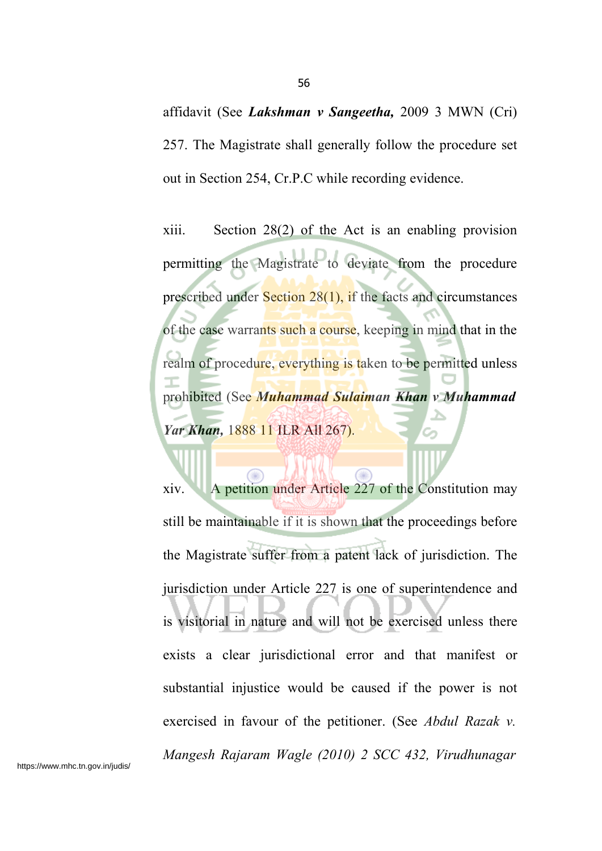affidavit (See *Lakshman v Sangeetha,* 2009 3 MWN (Cri) 257. The Magistrate shall generally follow the procedure set out in Section 254, Cr.P.C while recording evidence.

xiii. Section 28(2) of the Act is an enabling provision permitting the Magistrate to deviate from the procedure prescribed under **Section 28(1)**, if the facts and circumstances of the case warrants such a course, keeping in mind that in the realm of procedure, everything is taken to be permitted unless prohibited (See *Muhammad Sulaiman Khan v Muhammad Yar Khan,* 1888 11 ILR All 267).

xiv. A petition under Article 227 of the Constitution may still be maintainable if it is shown that the proceedings before the Magistrate suffer from a patent lack of jurisdiction. The jurisdiction under Article 227 is one of superintendence and is visitorial in nature and will not be exercised unless there exists a clear jurisdictional error and that manifest or substantial injustice would be caused if the power is not exercised in favour of the petitioner. (See *Abdul Razak v. Mangesh Rajaram Wagle (2010) 2 SCC 432, Virudhunagar*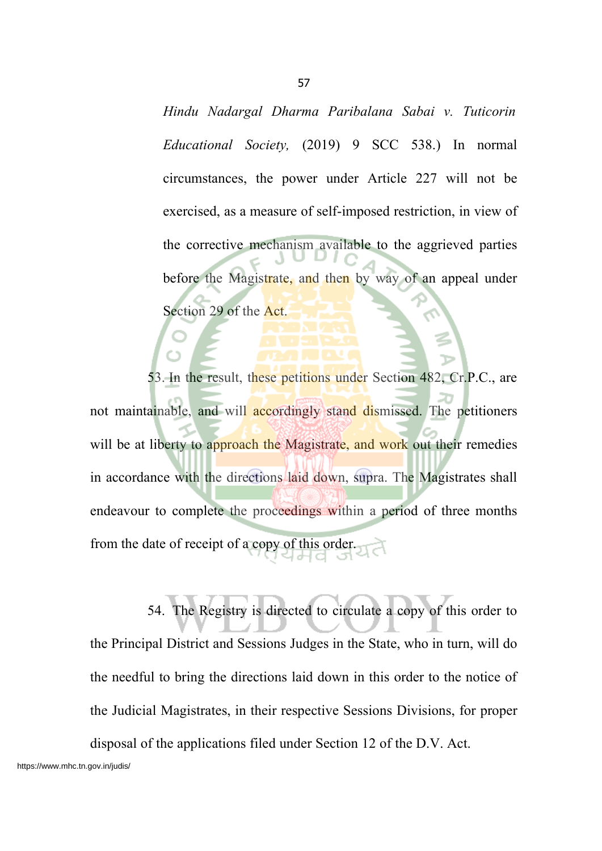*Hindu Nadargal Dharma Paribalana Sabai v. Tuticorin Educational Society,* (2019) 9 SCC 538.) In normal circumstances, the power under Article 227 will not be exercised, as a measure of self-imposed restriction, in view of the corrective mechanism available to the aggrieved parties before the Magistrate, and then by way of an appeal under Section 29 of the Act.

53. In the result, these petitions under Section 482, Cr.P.C., are not maintainable, and will accordingly stand dismissed. The petitioners will be at liberty to approach the Magistrate, and work out their remedies in accordance with the directions laid down, supra. The Magistrates shall endeavour to complete the proceedings within a period of three months from the date of receipt of a copy of this order.

54. The Registry is directed to circulate a copy of this order to the Principal District and Sessions Judges in the State, who in turn, will do the needful to bring the directions laid down in this order to the notice of the Judicial Magistrates, in their respective Sessions Divisions, for proper disposal of the applications filed under Section 12 of the D.V. Act.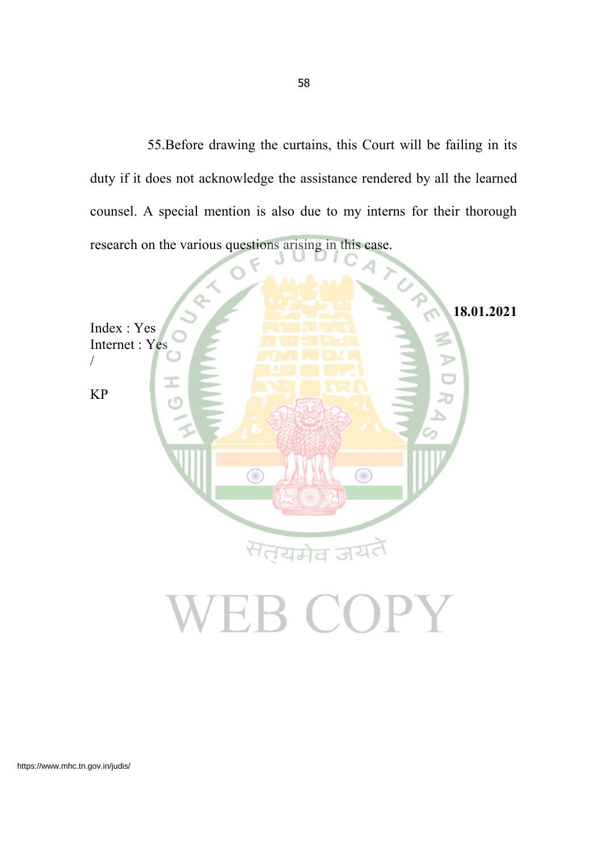55.Before drawing the curtains, this Court will be failing in its duty if it does not acknowledge the assistance rendered by all the learned counsel. A special mention is also due to my interns for their thorough research on the various questions arising in this case.

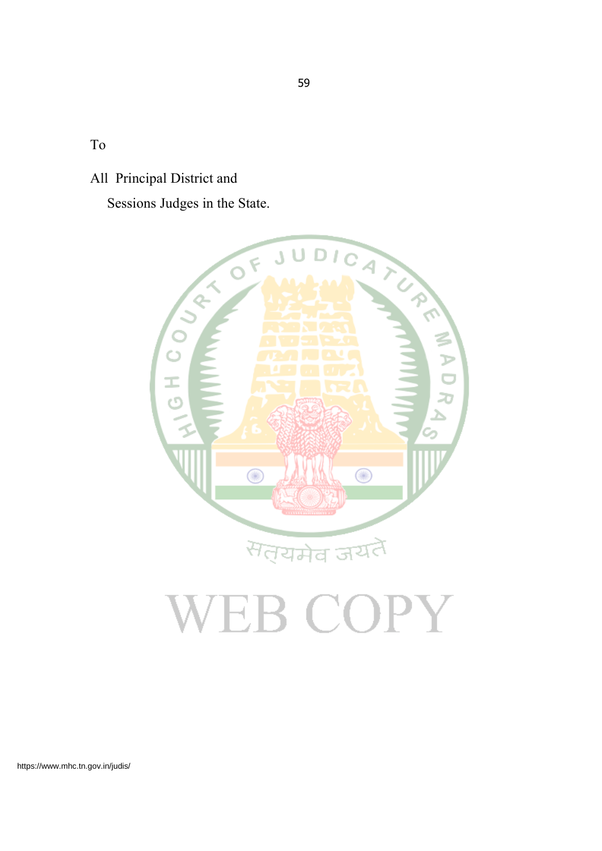To

All Principal District and

Sessions Judges in the State.



# VEB COPY